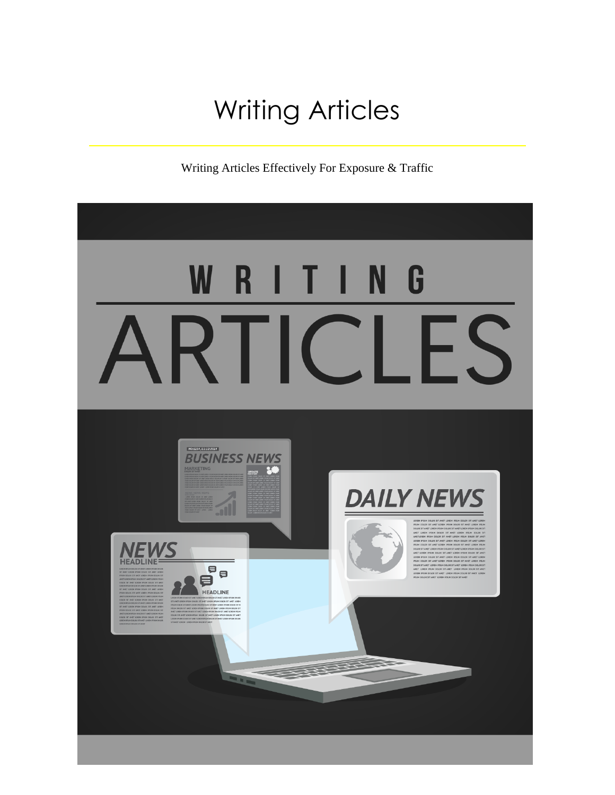# Writing Articles

Writing Articles Effectively For Exposure & Traffic

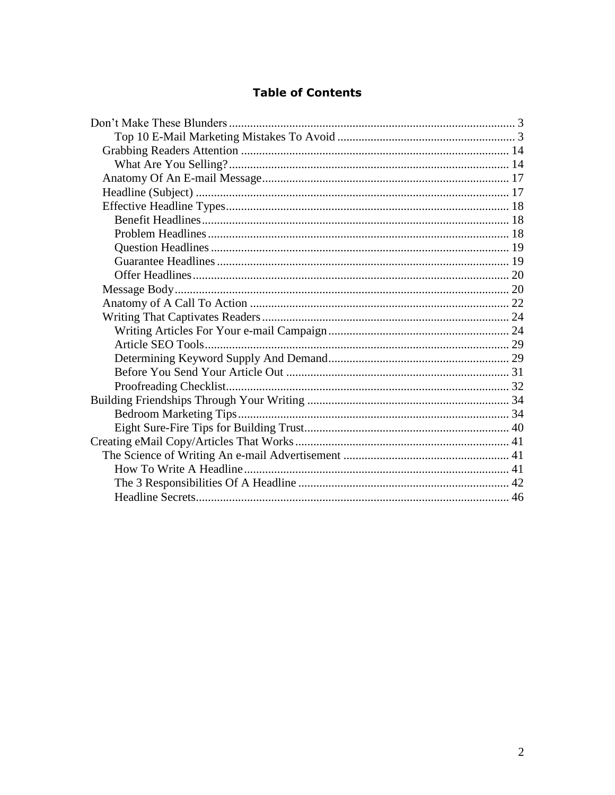# **Table of Contents**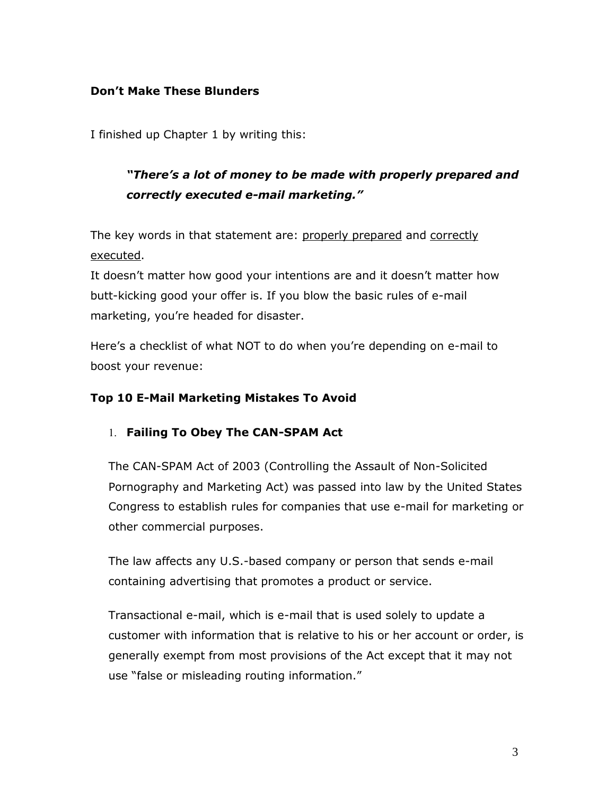# <span id="page-2-0"></span>**Don't Make These Blunders**

I finished up Chapter 1 by writing this:

# *"There's a lot of money to be made with properly prepared and correctly executed e-mail marketing."*

The key words in that statement are: properly prepared and correctly executed.

It doesn't matter how good your intentions are and it doesn't matter how butt-kicking good your offer is. If you blow the basic rules of e-mail marketing, you're headed for disaster.

Here's a checklist of what NOT to do when you're depending on e-mail to boost your revenue:

# <span id="page-2-1"></span>**Top 10 E-Mail Marketing Mistakes To Avoid**

#### **Failing To Obey The CAN-SPAM Act**

The CAN-SPAM Act of 2003 (Controlling the Assault of Non-Solicited Pornography and Marketing Act) was passed into law by the United States Congress to establish rules for companies that use e-mail for marketing or other commercial purposes.

The law affects any U.S.-based company or person that sends e-mail containing advertising that promotes a product or service.

Transactional e-mail, which is e-mail that is used solely to update a customer with information that is relative to his or her account or order, is generally exempt from most provisions of the Act except that it may not use "false or misleading routing information."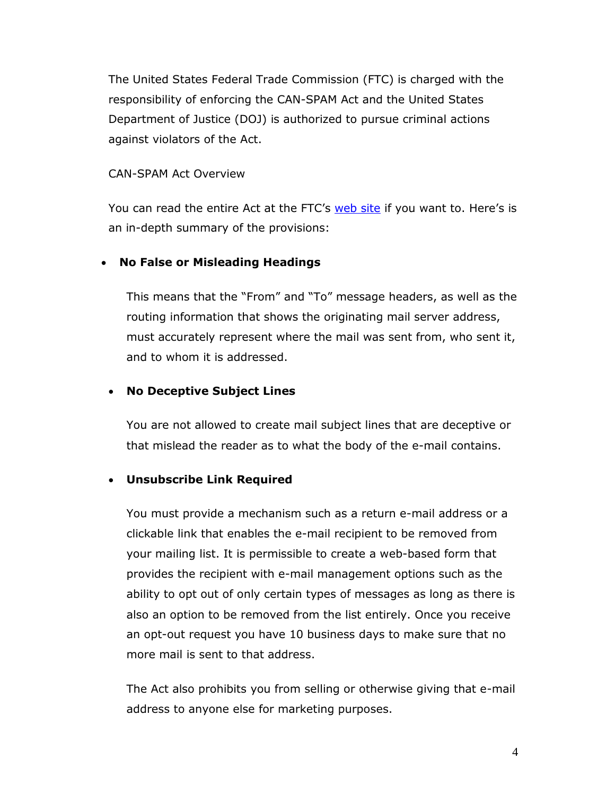The United States Federal Trade Commission (FTC) is charged with the responsibility of enforcing the CAN-SPAM Act and the United States Department of Justice (DOJ) is authorized to pursue criminal actions against violators of the Act.

#### CAN-SPAM Act Overview

You can read the entire Act at the FTC's [web site](http://www.ftc.gov/spam) if you want to. Here's is an in-depth summary of the provisions:

#### **No False or Misleading Headings**

This means that the "From" and "To" message headers, as well as the routing information that shows the originating mail server address, must accurately represent where the mail was sent from, who sent it, and to whom it is addressed.

#### **No Deceptive Subject Lines**

You are not allowed to create mail subject lines that are deceptive or that mislead the reader as to what the body of the e-mail contains.

#### **Unsubscribe Link Required**

You must provide a mechanism such as a return e-mail address or a clickable link that enables the e-mail recipient to be removed from your mailing list. It is permissible to create a web-based form that provides the recipient with e-mail management options such as the ability to opt out of only certain types of messages as long as there is also an option to be removed from the list entirely. Once you receive an opt-out request you have 10 business days to make sure that no more mail is sent to that address.

The Act also prohibits you from selling or otherwise giving that e-mail address to anyone else for marketing purposes.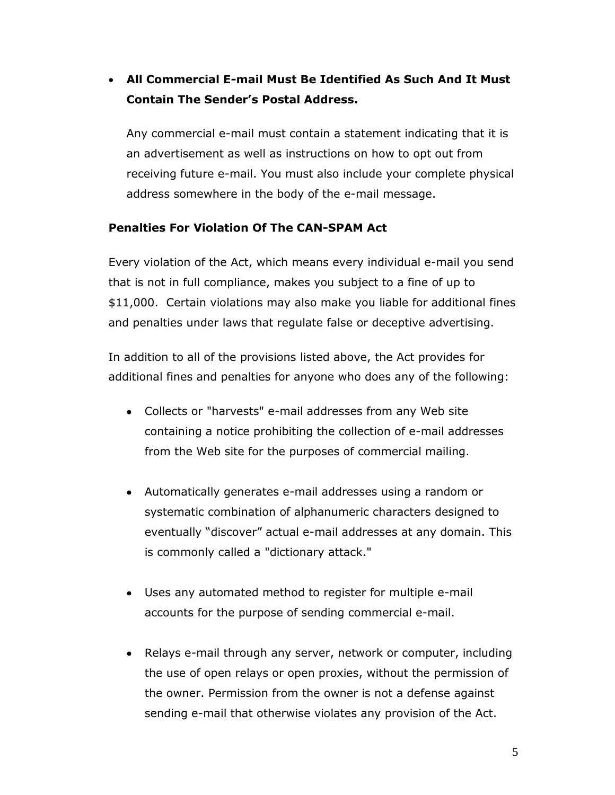# **All Commercial E-mail Must Be Identified As Such And It Must Contain The Sender's Postal Address.**

Any commercial e-mail must contain a statement indicating that it is an advertisement as well as instructions on how to opt out from receiving future e-mail. You must also include your complete physical address somewhere in the body of the e-mail message.

# **Penalties For Violation Of The CAN-SPAM Act**

Every violation of the Act, which means every individual e-mail you send that is not in full compliance, makes you subject to a fine of up to \$11,000. Certain violations may also make you liable for additional fines and penalties under laws that regulate false or deceptive advertising.

In addition to all of the provisions listed above, the Act provides for additional fines and penalties for anyone who does any of the following:

- Collects or "harvests" e-mail addresses from any Web site containing a notice prohibiting the collection of e-mail addresses from the Web site for the purposes of commercial mailing.
- Automatically generates e-mail addresses using a random or systematic combination of alphanumeric characters designed to eventually "discover" actual e-mail addresses at any domain. This is commonly called a "dictionary attack."
- Uses any automated method to register for multiple e-mail accounts for the purpose of sending commercial e-mail.
- Relays e-mail through any server, network or computer, including the use of open relays or open proxies, without the permission of the owner. Permission from the owner is not a defense against sending e-mail that otherwise violates any provision of the Act.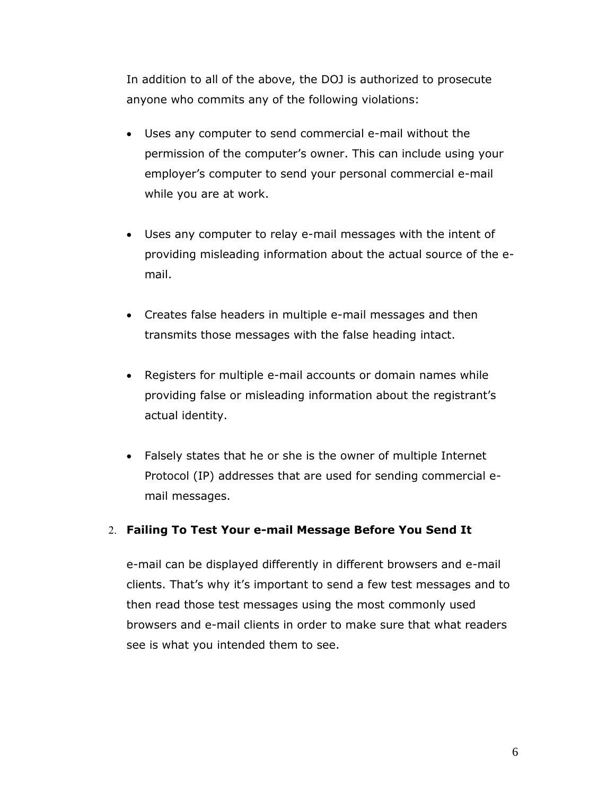In addition to all of the above, the DOJ is authorized to prosecute anyone who commits any of the following violations:

- Uses any computer to send commercial e-mail without the permission of the computer's owner. This can include using your employer's computer to send your personal commercial e-mail while you are at work.
- Uses any computer to relay e-mail messages with the intent of providing misleading information about the actual source of the email.
- Creates false headers in multiple e-mail messages and then transmits those messages with the false heading intact.
- Registers for multiple e-mail accounts or domain names while providing false or misleading information about the registrant's actual identity.
- Falsely states that he or she is the owner of multiple Internet Protocol (IP) addresses that are used for sending commercial email messages.

#### **Failing To Test Your e-mail Message Before You Send It**

e-mail can be displayed differently in different browsers and e-mail clients. That's why it's important to send a few test messages and to then read those test messages using the most commonly used browsers and e-mail clients in order to make sure that what readers see is what you intended them to see.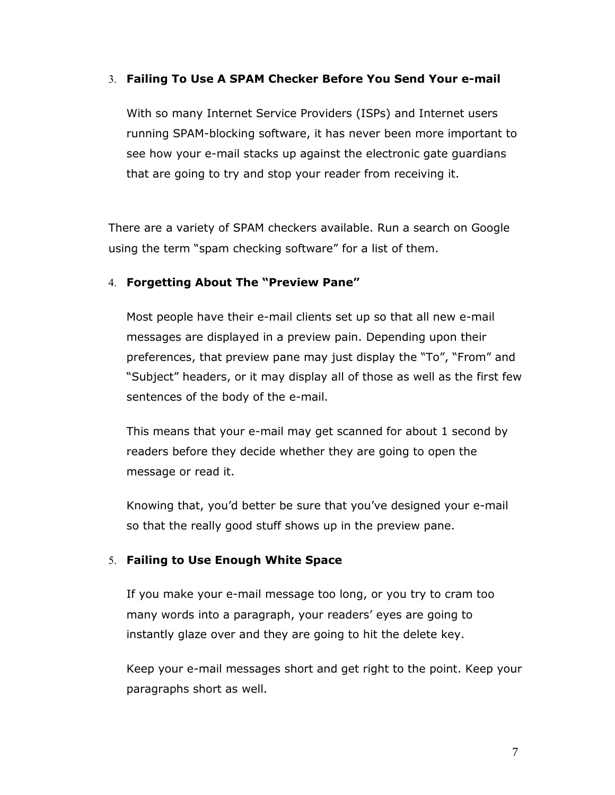#### **Failing To Use A SPAM Checker Before You Send Your e-mail**

With so many Internet Service Providers (ISPs) and Internet users running SPAM-blocking software, it has never been more important to see how your e-mail stacks up against the electronic gate guardians that are going to try and stop your reader from receiving it.

There are a variety of SPAM checkers available. Run a search on Google using the term "spam checking software" for a list of them.

#### **Forgetting About The "Preview Pane"**

Most people have their e-mail clients set up so that all new e-mail messages are displayed in a preview pain. Depending upon their preferences, that preview pane may just display the "To", "From" and "Subject" headers, or it may display all of those as well as the first few sentences of the body of the e-mail.

This means that your e-mail may get scanned for about 1 second by readers before they decide whether they are going to open the message or read it.

Knowing that, you'd better be sure that you've designed your e-mail so that the really good stuff shows up in the preview pane.

# **Failing to Use Enough White Space**

If you make your e-mail message too long, or you try to cram too many words into a paragraph, your readers' eyes are going to instantly glaze over and they are going to hit the delete key.

Keep your e-mail messages short and get right to the point. Keep your paragraphs short as well.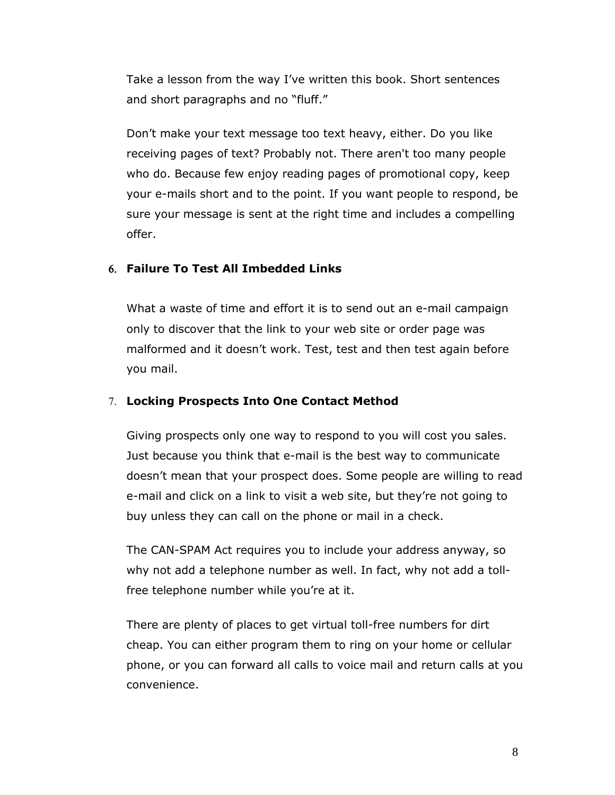Take a lesson from the way I've written this book. Short sentences and short paragraphs and no "fluff."

Don't make your text message too text heavy, either. Do you like receiving pages of text? Probably not. There aren't too many people who do. Because few enjoy reading pages of promotional copy, keep your e-mails short and to the point. If you want people to respond, be sure your message is sent at the right time and includes a compelling offer.

# **Failure To Test All Imbedded Links**

What a waste of time and effort it is to send out an e-mail campaign only to discover that the link to your web site or order page was malformed and it doesn't work. Test, test and then test again before you mail.

# **Locking Prospects Into One Contact Method**

Giving prospects only one way to respond to you will cost you sales. Just because you think that e-mail is the best way to communicate doesn't mean that your prospect does. Some people are willing to read e-mail and click on a link to visit a web site, but they're not going to buy unless they can call on the phone or mail in a check.

The CAN-SPAM Act requires you to include your address anyway, so why not add a telephone number as well. In fact, why not add a tollfree telephone number while you're at it.

There are plenty of places to get virtual toll-free numbers for dirt cheap. You can either program them to ring on your home or cellular phone, or you can forward all calls to voice mail and return calls at you convenience.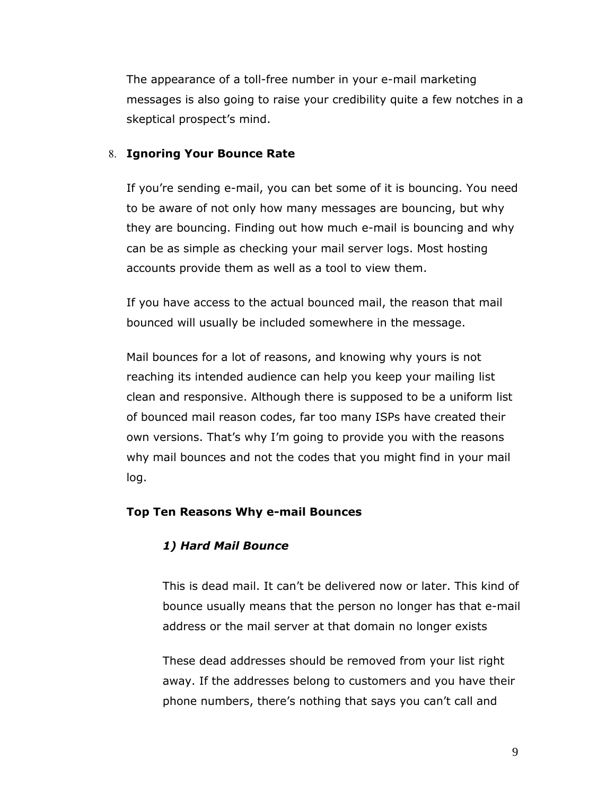The appearance of a toll-free number in your e-mail marketing messages is also going to raise your credibility quite a few notches in a skeptical prospect's mind.

## **Ignoring Your Bounce Rate**

If you're sending e-mail, you can bet some of it is bouncing. You need to be aware of not only how many messages are bouncing, but why they are bouncing. Finding out how much e-mail is bouncing and why can be as simple as checking your mail server logs. Most hosting accounts provide them as well as a tool to view them.

If you have access to the actual bounced mail, the reason that mail bounced will usually be included somewhere in the message.

Mail bounces for a lot of reasons, and knowing why yours is not reaching its intended audience can help you keep your mailing list clean and responsive. Although there is supposed to be a uniform list of bounced mail reason codes, far too many ISPs have created their own versions. That's why I'm going to provide you with the reasons why mail bounces and not the codes that you might find in your mail log.

#### **Top Ten Reasons Why e-mail Bounces**

# *1) Hard Mail Bounce*

This is dead mail. It can't be delivered now or later. This kind of bounce usually means that the person no longer has that e-mail address or the mail server at that domain no longer exists

These dead addresses should be removed from your list right away. If the addresses belong to customers and you have their phone numbers, there's nothing that says you can't call and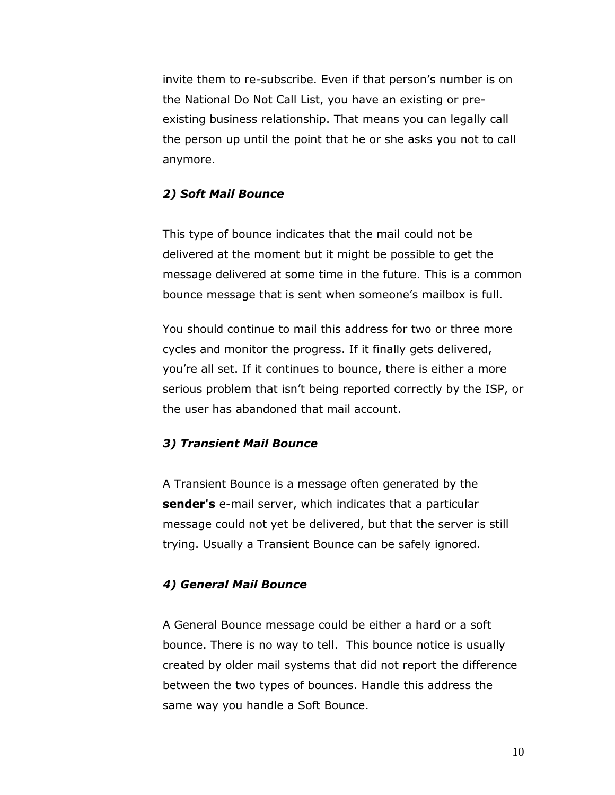invite them to re-subscribe. Even if that person's number is on the National Do Not Call List, you have an existing or preexisting business relationship. That means you can legally call the person up until the point that he or she asks you not to call anymore.

#### *2) Soft Mail Bounce*

This type of bounce indicates that the mail could not be delivered at the moment but it might be possible to get the message delivered at some time in the future. This is a common bounce message that is sent when someone's mailbox is full.

You should continue to mail this address for two or three more cycles and monitor the progress. If it finally gets delivered, you're all set. If it continues to bounce, there is either a more serious problem that isn't being reported correctly by the ISP, or the user has abandoned that mail account.

#### *3) Transient Mail Bounce*

A Transient Bounce is a message often generated by the **sender's** e-mail server, which indicates that a particular message could not yet be delivered, but that the server is still trying. Usually a Transient Bounce can be safely ignored.

#### *4) General Mail Bounce*

A General Bounce message could be either a hard or a soft bounce. There is no way to tell. This bounce notice is usually created by older mail systems that did not report the difference between the two types of bounces. Handle this address the same way you handle a Soft Bounce.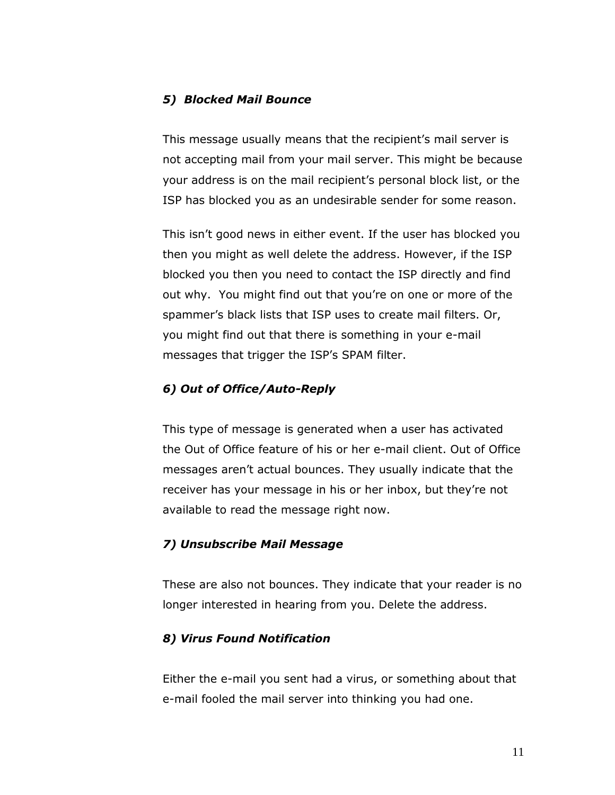#### *5) Blocked Mail Bounce*

This message usually means that the recipient's mail server is not accepting mail from your mail server. This might be because your address is on the mail recipient's personal block list, or the ISP has blocked you as an undesirable sender for some reason.

This isn't good news in either event. If the user has blocked you then you might as well delete the address. However, if the ISP blocked you then you need to contact the ISP directly and find out why. You might find out that you're on one or more of the spammer's black lists that ISP uses to create mail filters. Or, you might find out that there is something in your e-mail messages that trigger the ISP's SPAM filter.

# *6) Out of Office/Auto-Reply*

This type of message is generated when a user has activated the Out of Office feature of his or her e-mail client. Out of Office messages aren't actual bounces. They usually indicate that the receiver has your message in his or her inbox, but they're not available to read the message right now.

#### *7) Unsubscribe Mail Message*

These are also not bounces. They indicate that your reader is no longer interested in hearing from you. Delete the address.

#### *8) Virus Found Notification*

Either the e-mail you sent had a virus, or something about that e-mail fooled the mail server into thinking you had one.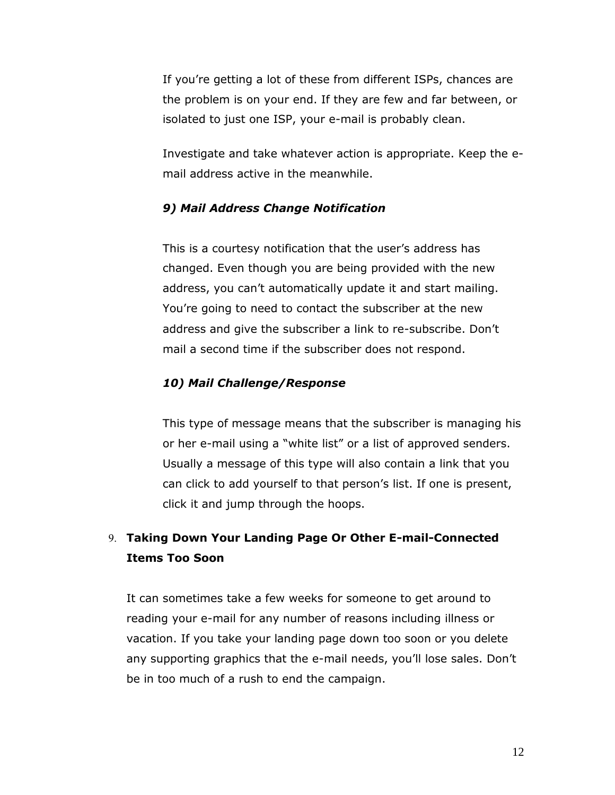If you're getting a lot of these from different ISPs, chances are the problem is on your end. If they are few and far between, or isolated to just one ISP, your e-mail is probably clean.

Investigate and take whatever action is appropriate. Keep the email address active in the meanwhile.

#### *9) Mail Address Change Notification*

This is a courtesy notification that the user's address has changed. Even though you are being provided with the new address, you can't automatically update it and start mailing. You're going to need to contact the subscriber at the new address and give the subscriber a link to re-subscribe. Don't mail a second time if the subscriber does not respond.

#### *10) Mail Challenge/Response*

This type of message means that the subscriber is managing his or her e-mail using a "white list" or a list of approved senders. Usually a message of this type will also contain a link that you can click to add yourself to that person's list. If one is present, click it and jump through the hoops.

# **Taking Down Your Landing Page Or Other E-mail-Connected Items Too Soon**

It can sometimes take a few weeks for someone to get around to reading your e-mail for any number of reasons including illness or vacation. If you take your landing page down too soon or you delete any supporting graphics that the e-mail needs, you'll lose sales. Don't be in too much of a rush to end the campaign.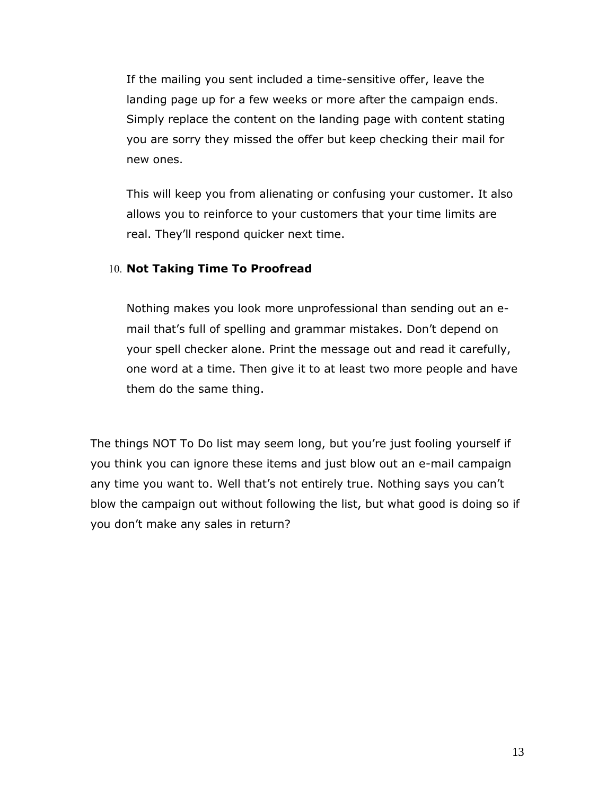If the mailing you sent included a time-sensitive offer, leave the landing page up for a few weeks or more after the campaign ends. Simply replace the content on the landing page with content stating you are sorry they missed the offer but keep checking their mail for new ones.

This will keep you from alienating or confusing your customer. It also allows you to reinforce to your customers that your time limits are real. They'll respond quicker next time.

#### 10. Not Taking Time To Proofread

Nothing makes you look more unprofessional than sending out an email that's full of spelling and grammar mistakes. Don't depend on your spell checker alone. Print the message out and read it carefully, one word at a time. Then give it to at least two more people and have them do the same thing.

The things NOT To Do list may seem long, but you're just fooling yourself if you think you can ignore these items and just blow out an e-mail campaign any time you want to. Well that's not entirely true. Nothing says you can't blow the campaign out without following the list, but what good is doing so if you don't make any sales in return?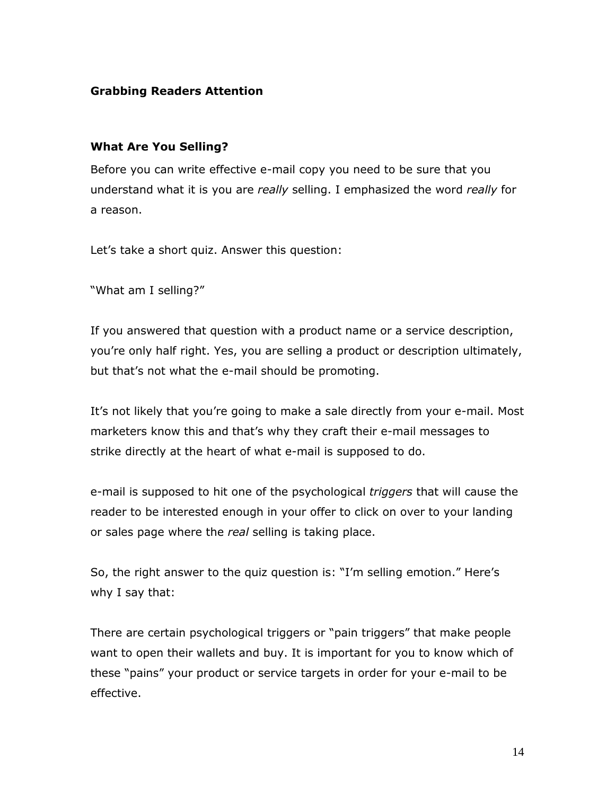# <span id="page-13-0"></span>**Grabbing Readers Attention**

#### <span id="page-13-1"></span>**What Are You Selling?**

Before you can write effective e-mail copy you need to be sure that you understand what it is you are *really* selling. I emphasized the word *really* for a reason.

Let's take a short quiz. Answer this question:

"What am I selling?"

If you answered that question with a product name or a service description, you're only half right. Yes, you are selling a product or description ultimately, but that's not what the e-mail should be promoting.

It's not likely that you're going to make a sale directly from your e-mail. Most marketers know this and that's why they craft their e-mail messages to strike directly at the heart of what e-mail is supposed to do.

e-mail is supposed to hit one of the psychological *triggers* that will cause the reader to be interested enough in your offer to click on over to your landing or sales page where the *real* selling is taking place.

So, the right answer to the quiz question is: "I'm selling emotion." Here's why I say that:

There are certain psychological triggers or "pain triggers" that make people want to open their wallets and buy. It is important for you to know which of these "pains" your product or service targets in order for your e-mail to be effective.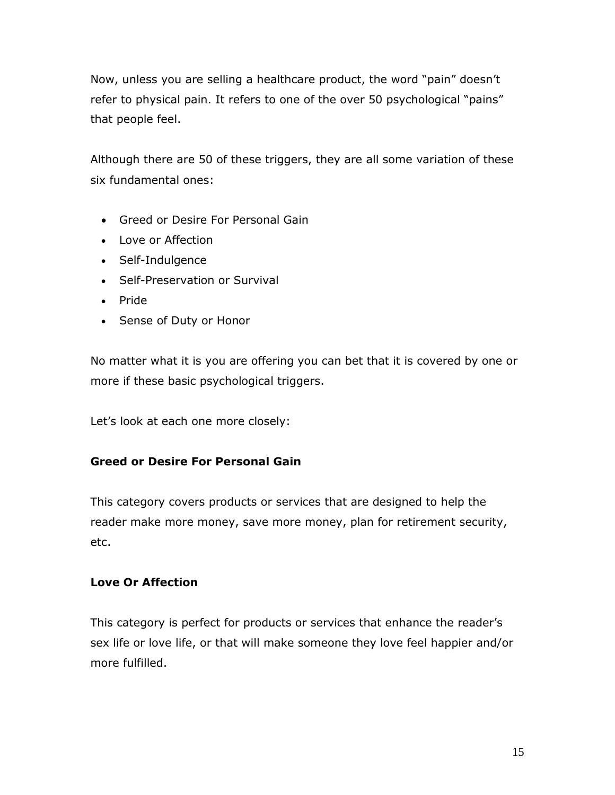Now, unless you are selling a healthcare product, the word "pain" doesn't refer to physical pain. It refers to one of the over 50 psychological "pains" that people feel.

Although there are 50 of these triggers, they are all some variation of these six fundamental ones:

- Greed or Desire For Personal Gain
- Love or Affection
- Self-Indulgence
- Self-Preservation or Survival
- Pride
- Sense of Duty or Honor

No matter what it is you are offering you can bet that it is covered by one or more if these basic psychological triggers.

Let's look at each one more closely:

# **Greed or Desire For Personal Gain**

This category covers products or services that are designed to help the reader make more money, save more money, plan for retirement security, etc.

# **Love Or Affection**

This category is perfect for products or services that enhance the reader's sex life or love life, or that will make someone they love feel happier and/or more fulfilled.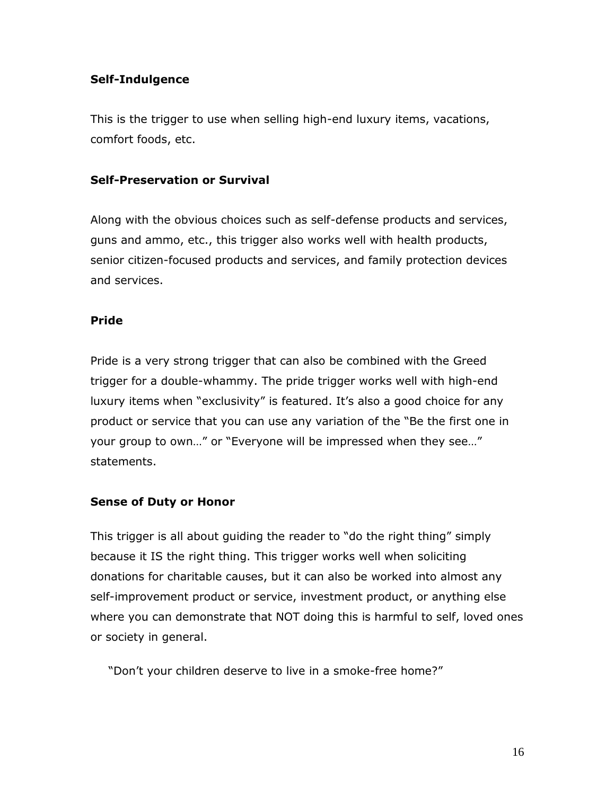## **Self-Indulgence**

This is the trigger to use when selling high-end luxury items, vacations, comfort foods, etc.

## **Self-Preservation or Survival**

Along with the obvious choices such as self-defense products and services, guns and ammo, etc., this trigger also works well with health products, senior citizen-focused products and services, and family protection devices and services.

# **Pride**

Pride is a very strong trigger that can also be combined with the Greed trigger for a double-whammy. The pride trigger works well with high-end luxury items when "exclusivity" is featured. It's also a good choice for any product or service that you can use any variation of the "Be the first one in your group to own…" or "Everyone will be impressed when they see…" statements.

#### **Sense of Duty or Honor**

This trigger is all about guiding the reader to "do the right thing" simply because it IS the right thing. This trigger works well when soliciting donations for charitable causes, but it can also be worked into almost any self-improvement product or service, investment product, or anything else where you can demonstrate that NOT doing this is harmful to self, loved ones or society in general.

"Don't your children deserve to live in a smoke-free home?"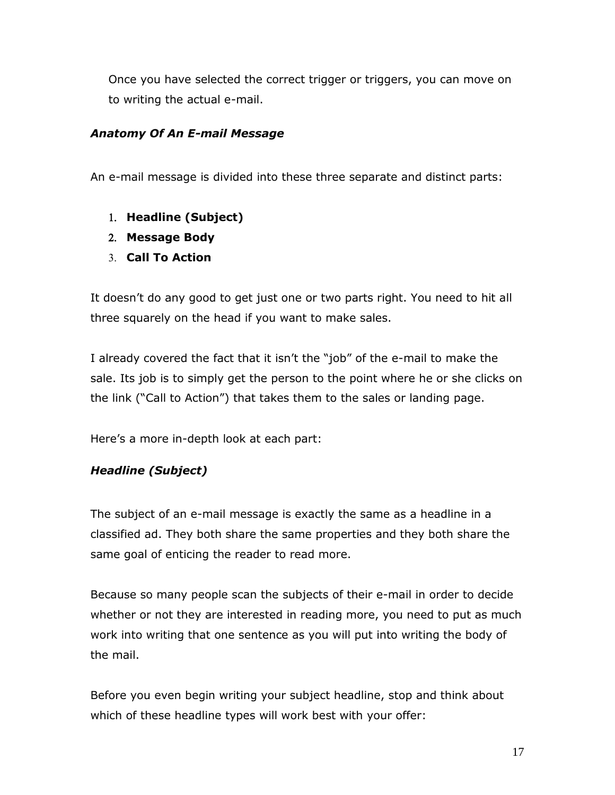Once you have selected the correct trigger or triggers, you can move on to writing the actual e-mail.

# <span id="page-16-0"></span>*Anatomy Of An E-mail Message*

An e-mail message is divided into these three separate and distinct parts:

- **Headline (Subject)**
- **Message Body**
- **Call To Action**

It doesn't do any good to get just one or two parts right. You need to hit all three squarely on the head if you want to make sales.

I already covered the fact that it isn't the "job" of the e-mail to make the sale. Its job is to simply get the person to the point where he or she clicks on the link ("Call to Action") that takes them to the sales or landing page.

Here's a more in-depth look at each part:

# <span id="page-16-1"></span>*Headline (Subject)*

The subject of an e-mail message is exactly the same as a headline in a classified ad. They both share the same properties and they both share the same goal of enticing the reader to read more.

Because so many people scan the subjects of their e-mail in order to decide whether or not they are interested in reading more, you need to put as much work into writing that one sentence as you will put into writing the body of the mail.

Before you even begin writing your subject headline, stop and think about which of these headline types will work best with your offer: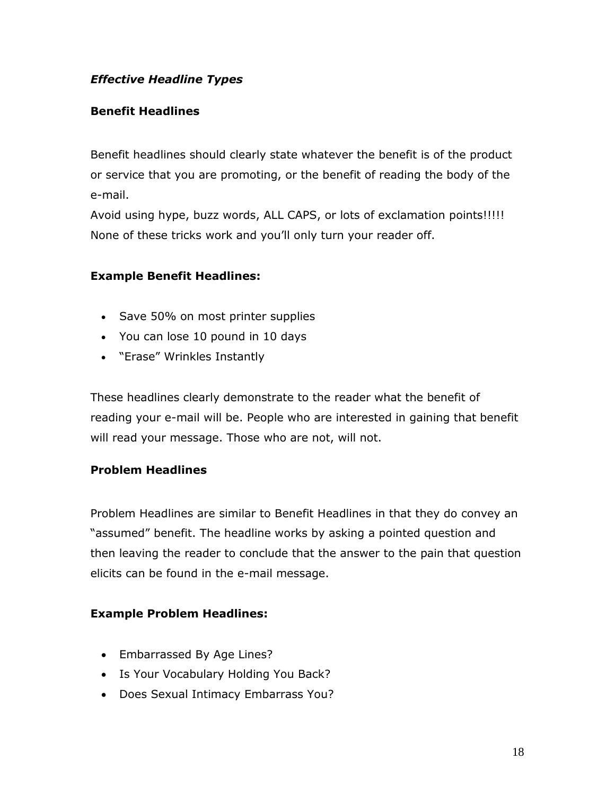# <span id="page-17-0"></span>*Effective Headline Types*

# <span id="page-17-1"></span>**Benefit Headlines**

Benefit headlines should clearly state whatever the benefit is of the product or service that you are promoting, or the benefit of reading the body of the e-mail.

Avoid using hype, buzz words, ALL CAPS, or lots of exclamation points!!!!! None of these tricks work and you'll only turn your reader off.

# **Example Benefit Headlines:**

- Save 50% on most printer supplies
- You can lose 10 pound in 10 days
- "Erase" Wrinkles Instantly

These headlines clearly demonstrate to the reader what the benefit of reading your e-mail will be. People who are interested in gaining that benefit will read your message. Those who are not, will not.

## <span id="page-17-2"></span>**Problem Headlines**

Problem Headlines are similar to Benefit Headlines in that they do convey an "assumed" benefit. The headline works by asking a pointed question and then leaving the reader to conclude that the answer to the pain that question elicits can be found in the e-mail message.

#### **Example Problem Headlines:**

- Embarrassed By Age Lines?
- Is Your Vocabulary Holding You Back?
- Does Sexual Intimacy Embarrass You?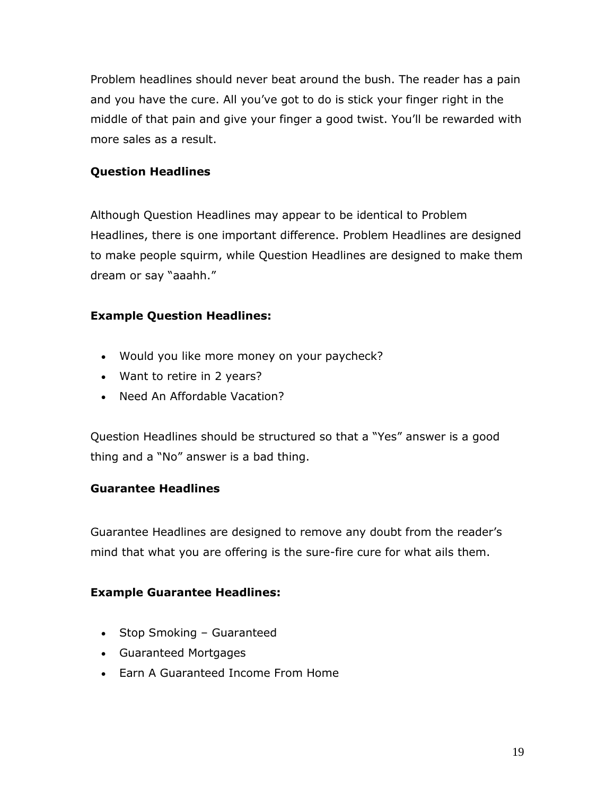Problem headlines should never beat around the bush. The reader has a pain and you have the cure. All you've got to do is stick your finger right in the middle of that pain and give your finger a good twist. You'll be rewarded with more sales as a result.

# <span id="page-18-0"></span>**Question Headlines**

Although Question Headlines may appear to be identical to Problem Headlines, there is one important difference. Problem Headlines are designed to make people squirm, while Question Headlines are designed to make them dream or say "aaahh."

# **Example Question Headlines:**

- Would you like more money on your paycheck?
- Want to retire in 2 years?
- Need An Affordable Vacation?

Question Headlines should be structured so that a "Yes" answer is a good thing and a "No" answer is a bad thing.

#### <span id="page-18-1"></span>**Guarantee Headlines**

Guarantee Headlines are designed to remove any doubt from the reader's mind that what you are offering is the sure-fire cure for what ails them.

#### **Example Guarantee Headlines:**

- Stop Smoking Guaranteed
- Guaranteed Mortgages
- Earn A Guaranteed Income From Home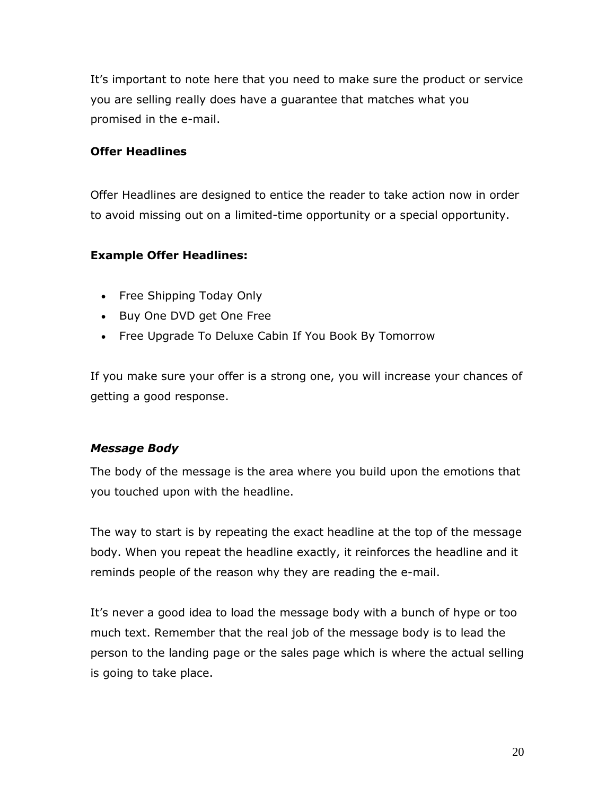It's important to note here that you need to make sure the product or service you are selling really does have a guarantee that matches what you promised in the e-mail.

# <span id="page-19-0"></span>**Offer Headlines**

Offer Headlines are designed to entice the reader to take action now in order to avoid missing out on a limited-time opportunity or a special opportunity.

# **Example Offer Headlines:**

- Free Shipping Today Only
- Buy One DVD get One Free
- Free Upgrade To Deluxe Cabin If You Book By Tomorrow

If you make sure your offer is a strong one, you will increase your chances of getting a good response.

#### <span id="page-19-1"></span>*Message Body*

The body of the message is the area where you build upon the emotions that you touched upon with the headline.

The way to start is by repeating the exact headline at the top of the message body. When you repeat the headline exactly, it reinforces the headline and it reminds people of the reason why they are reading the e-mail.

It's never a good idea to load the message body with a bunch of hype or too much text. Remember that the real job of the message body is to lead the person to the landing page or the sales page which is where the actual selling is going to take place.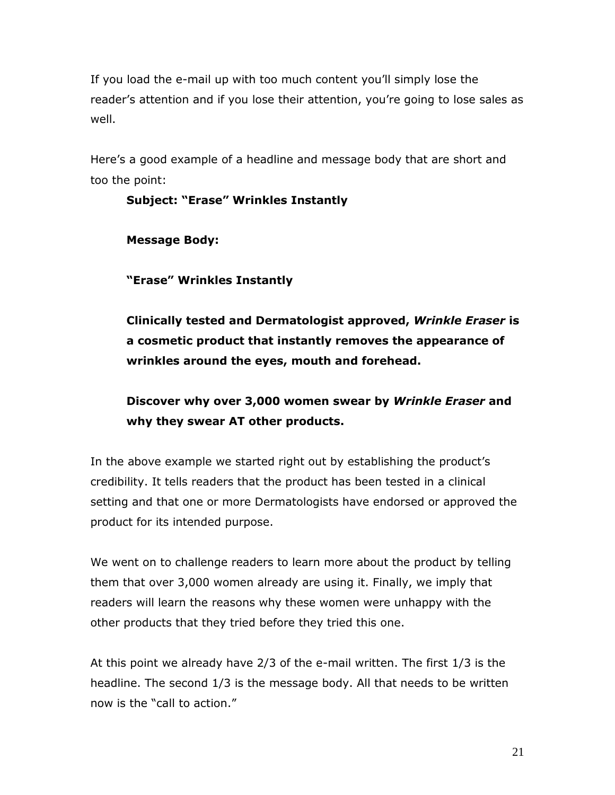If you load the e-mail up with too much content you'll simply lose the reader's attention and if you lose their attention, you're going to lose sales as well.

Here's a good example of a headline and message body that are short and too the point:

# **Subject: "Erase" Wrinkles Instantly Message Body: "Erase" Wrinkles Instantly Clinically tested and Dermatologist approved,** *Wrinkle Eraser* **is a cosmetic product that instantly removes the appearance of wrinkles around the eyes, mouth and forehead. Discover why over 3,000 women swear by** *Wrinkle Eraser* **and**

**why they swear AT other products.**

In the above example we started right out by establishing the product's credibility. It tells readers that the product has been tested in a clinical setting and that one or more Dermatologists have endorsed or approved the product for its intended purpose.

We went on to challenge readers to learn more about the product by telling them that over 3,000 women already are using it. Finally, we imply that readers will learn the reasons why these women were unhappy with the other products that they tried before they tried this one.

At this point we already have 2/3 of the e-mail written. The first 1/3 is the headline. The second 1/3 is the message body. All that needs to be written now is the "call to action."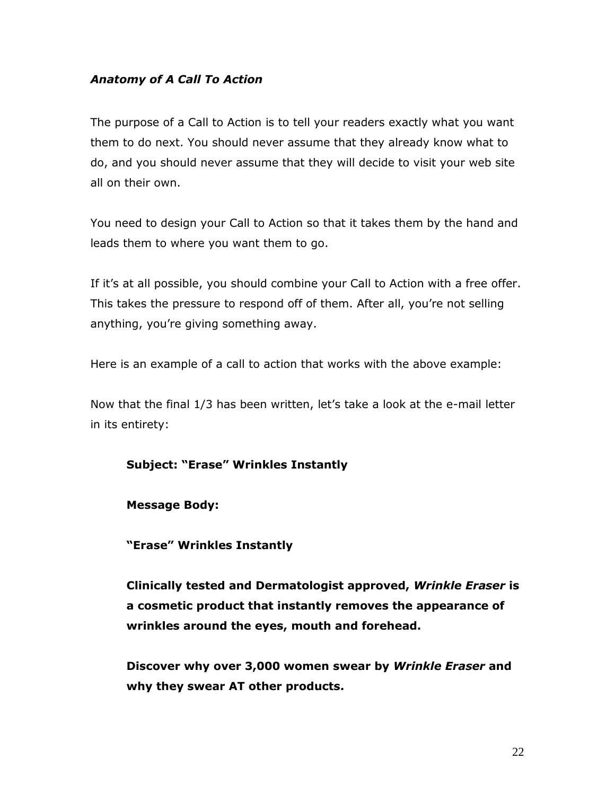# <span id="page-21-0"></span>*Anatomy of A Call To Action*

The purpose of a Call to Action is to tell your readers exactly what you want them to do next. You should never assume that they already know what to do, and you should never assume that they will decide to visit your web site all on their own.

You need to design your Call to Action so that it takes them by the hand and leads them to where you want them to go.

If it's at all possible, you should combine your Call to Action with a free offer. This takes the pressure to respond off of them. After all, you're not selling anything, you're giving something away.

Here is an example of a call to action that works with the above example:

Now that the final 1/3 has been written, let's take a look at the e-mail letter in its entirety:

#### **Subject: "Erase" Wrinkles Instantly**

#### **Message Body:**

**"Erase" Wrinkles Instantly**

**Clinically tested and Dermatologist approved,** *Wrinkle Eraser* **is a cosmetic product that instantly removes the appearance of wrinkles around the eyes, mouth and forehead.**

**Discover why over 3,000 women swear by** *Wrinkle Eraser* **and why they swear AT other products.**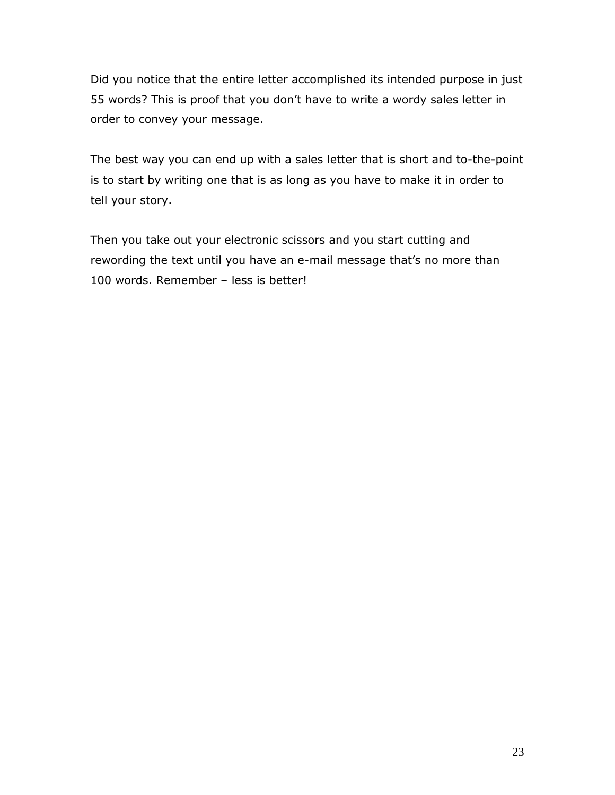Did you notice that the entire letter accomplished its intended purpose in just 55 words? This is proof that you don't have to write a wordy sales letter in order to convey your message.

The best way you can end up with a sales letter that is short and to-the-point is to start by writing one that is as long as you have to make it in order to tell your story.

Then you take out your electronic scissors and you start cutting and rewording the text until you have an e-mail message that's no more than 100 words. Remember – less is better!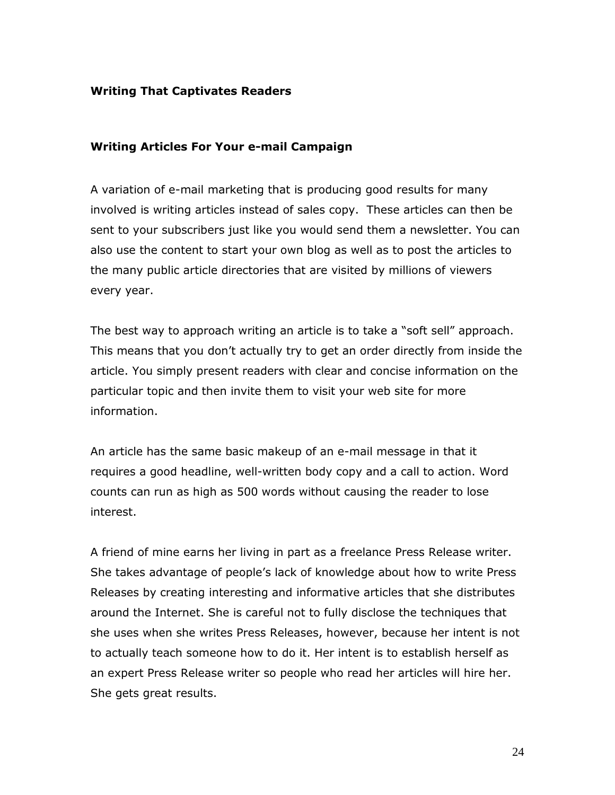#### <span id="page-23-0"></span>**Writing That Captivates Readers**

#### <span id="page-23-1"></span>**Writing Articles For Your e-mail Campaign**

A variation of e-mail marketing that is producing good results for many involved is writing articles instead of sales copy. These articles can then be sent to your subscribers just like you would send them a newsletter. You can also use the content to start your own blog as well as to post the articles to the many public article directories that are visited by millions of viewers every year.

The best way to approach writing an article is to take a "soft sell" approach. This means that you don't actually try to get an order directly from inside the article. You simply present readers with clear and concise information on the particular topic and then invite them to visit your web site for more information.

An article has the same basic makeup of an e-mail message in that it requires a good headline, well-written body copy and a call to action. Word counts can run as high as 500 words without causing the reader to lose interest.

A friend of mine earns her living in part as a freelance Press Release writer. She takes advantage of people's lack of knowledge about how to write Press Releases by creating interesting and informative articles that she distributes around the Internet. She is careful not to fully disclose the techniques that she uses when she writes Press Releases, however, because her intent is not to actually teach someone how to do it. Her intent is to establish herself as an expert Press Release writer so people who read her articles will hire her. She gets great results.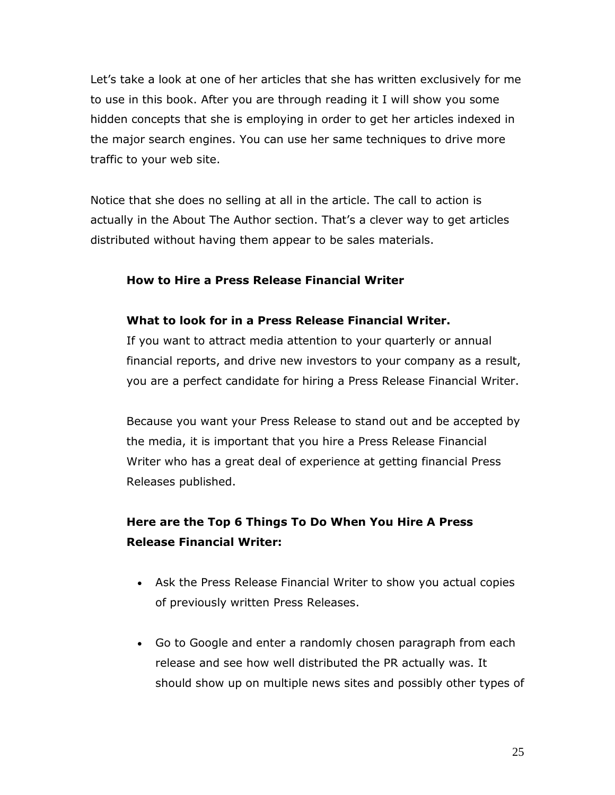Let's take a look at one of her articles that she has written exclusively for me to use in this book. After you are through reading it I will show you some hidden concepts that she is employing in order to get her articles indexed in the major search engines. You can use her same techniques to drive more traffic to your web site.

Notice that she does no selling at all in the article. The call to action is actually in the About The Author section. That's a clever way to get articles distributed without having them appear to be sales materials.

# **How to Hire a Press Release Financial Writer**

#### **What to look for in a Press Release Financial Writer.**

If you want to attract media attention to your quarterly or annual financial reports, and drive new investors to your company as a result, you are a perfect candidate for hiring a Press Release Financial Writer.

Because you want your Press Release to stand out and be accepted by the media, it is important that you hire a Press Release Financial Writer who has a great deal of experience at getting financial Press Releases published.

# **Here are the Top 6 Things To Do When You Hire A Press Release Financial Writer:**

- Ask the Press Release Financial Writer to show you actual copies of previously written Press Releases.
- Go to Google and enter a randomly chosen paragraph from each release and see how well distributed the PR actually was. It should show up on multiple news sites and possibly other types of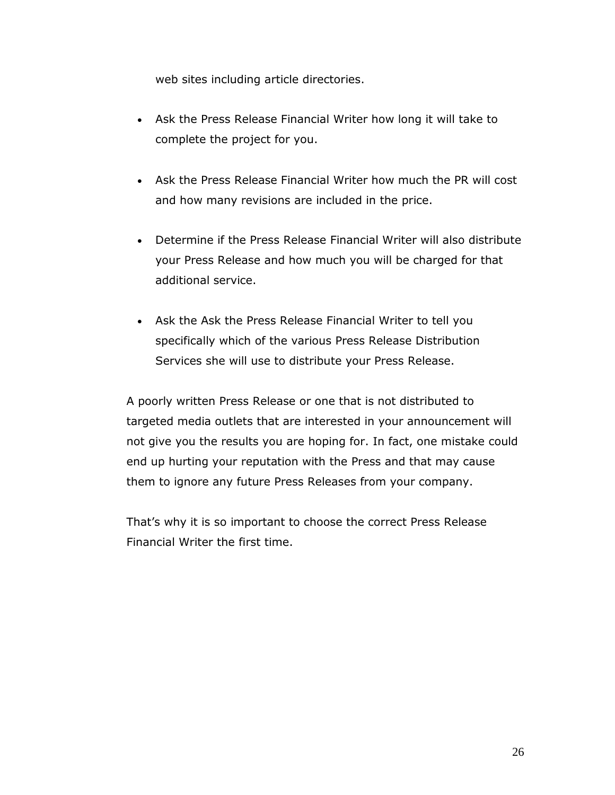web sites including article directories.

- Ask the Press Release Financial Writer how long it will take to complete the project for you.
- Ask the Press Release Financial Writer how much the PR will cost and how many revisions are included in the price.
- Determine if the Press Release Financial Writer will also distribute your Press Release and how much you will be charged for that additional service.
- Ask the Ask the Press Release Financial Writer to tell you specifically which of the various Press Release Distribution Services she will use to distribute your Press Release.

A poorly written Press Release or one that is not distributed to targeted media outlets that are interested in your announcement will not give you the results you are hoping for. In fact, one mistake could end up hurting your reputation with the Press and that may cause them to ignore any future Press Releases from your company.

That's why it is so important to choose the correct Press Release Financial Writer the first time.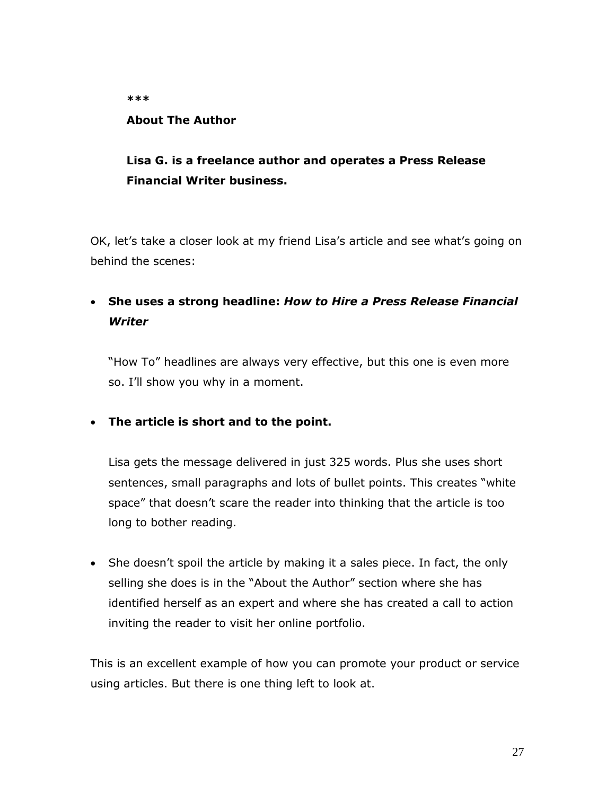#### **\*\*\***

#### **About The Author**

# **Lisa G. is a freelance author and operates a Press Release Financial Writer business.**

OK, let's take a closer look at my friend Lisa's article and see what's going on behind the scenes:

# **She uses a strong headline:** *How to Hire a Press Release Financial Writer*

"How To" headlines are always very effective, but this one is even more so. I'll show you why in a moment.

# **The article is short and to the point.**

Lisa gets the message delivered in just 325 words. Plus she uses short sentences, small paragraphs and lots of bullet points. This creates "white space" that doesn't scare the reader into thinking that the article is too long to bother reading.

• She doesn't spoil the article by making it a sales piece. In fact, the only selling she does is in the "About the Author" section where she has identified herself as an expert and where she has created a call to action inviting the reader to visit her online portfolio.

This is an excellent example of how you can promote your product or service using articles. But there is one thing left to look at.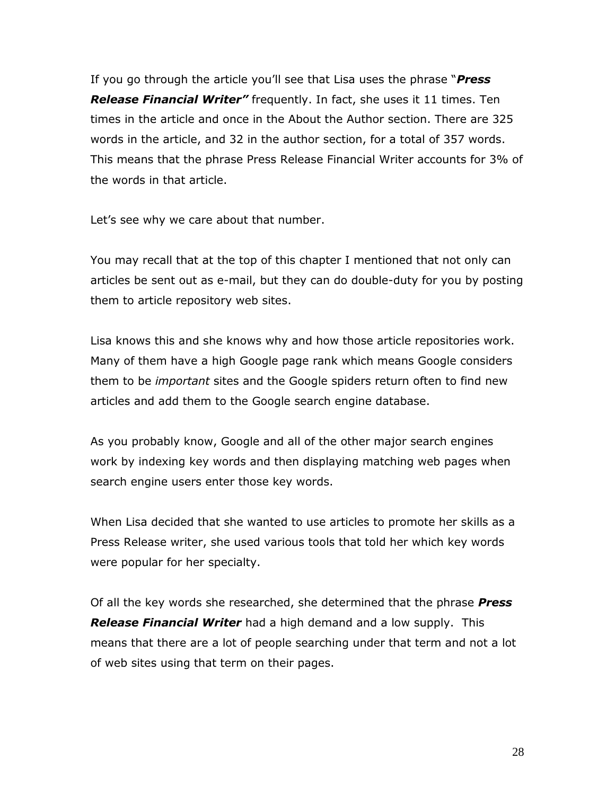If you go through the article you'll see that Lisa uses the phrase "*Press Release Financial Writer"* frequently. In fact, she uses it 11 times. Ten times in the article and once in the About the Author section. There are 325 words in the article, and 32 in the author section, for a total of 357 words. This means that the phrase Press Release Financial Writer accounts for 3% of the words in that article.

Let's see why we care about that number.

You may recall that at the top of this chapter I mentioned that not only can articles be sent out as e-mail, but they can do double-duty for you by posting them to article repository web sites.

Lisa knows this and she knows why and how those article repositories work. Many of them have a high Google page rank which means Google considers them to be *important* sites and the Google spiders return often to find new articles and add them to the Google search engine database.

As you probably know, Google and all of the other major search engines work by indexing key words and then displaying matching web pages when search engine users enter those key words.

When Lisa decided that she wanted to use articles to promote her skills as a Press Release writer, she used various tools that told her which key words were popular for her specialty.

Of all the key words she researched, she determined that the phrase *Press Release Financial Writer* had a high demand and a low supply. This means that there are a lot of people searching under that term and not a lot of web sites using that term on their pages.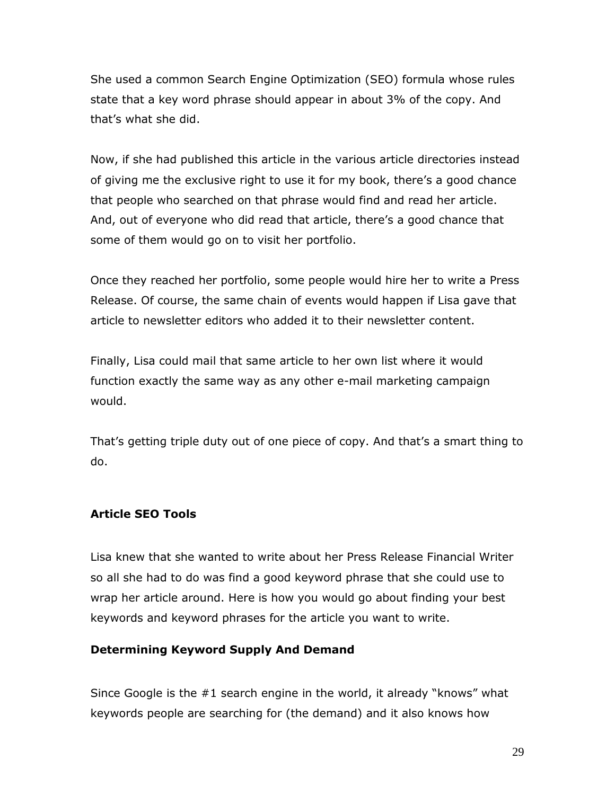She used a common Search Engine Optimization (SEO) formula whose rules state that a key word phrase should appear in about 3% of the copy. And that's what she did.

Now, if she had published this article in the various article directories instead of giving me the exclusive right to use it for my book, there's a good chance that people who searched on that phrase would find and read her article. And, out of everyone who did read that article, there's a good chance that some of them would go on to visit her portfolio.

Once they reached her portfolio, some people would hire her to write a Press Release. Of course, the same chain of events would happen if Lisa gave that article to newsletter editors who added it to their newsletter content.

Finally, Lisa could mail that same article to her own list where it would function exactly the same way as any other e-mail marketing campaign would.

That's getting triple duty out of one piece of copy. And that's a smart thing to do.

#### <span id="page-28-0"></span>**Article SEO Tools**

Lisa knew that she wanted to write about her Press Release Financial Writer so all she had to do was find a good keyword phrase that she could use to wrap her article around. Here is how you would go about finding your best keywords and keyword phrases for the article you want to write.

#### <span id="page-28-1"></span>**Determining Keyword Supply And Demand**

Since Google is the #1 search engine in the world, it already "knows" what keywords people are searching for (the demand) and it also knows how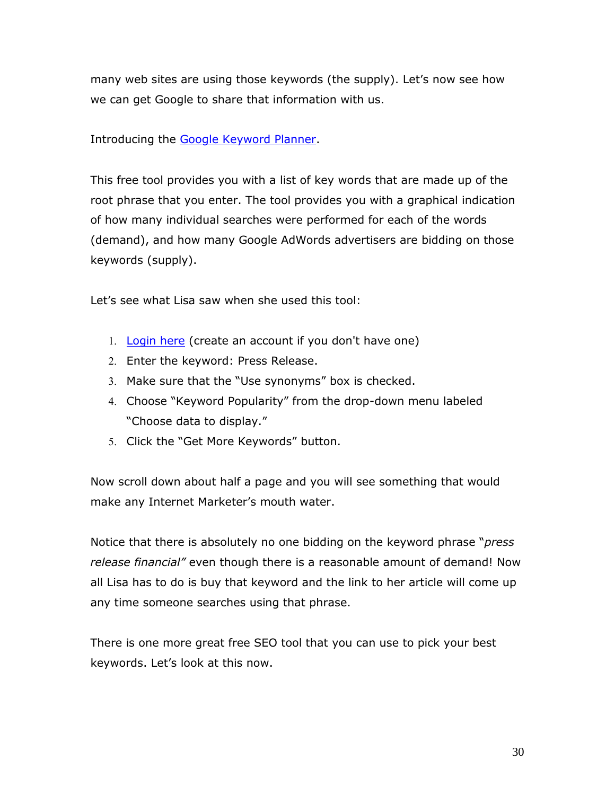many web sites are using those keywords (the supply). Let's now see how we can get Google to share that information with us.

## Introducing the [Google Keyword Planner.](https://ads.google.com/home/tools/keyword-planner/)

This free tool provides you with a list of key words that are made up of the root phrase that you enter. The tool provides you with a graphical indication of how many individual searches were performed for each of the words (demand), and how many Google AdWords advertisers are bidding on those keywords (supply).

Let's see what Lisa saw when she used this tool:

- 1. [Login here](https://ads.google.com/um/signin?dst=/ko/KeywordPlanner/Home?sourceid=awo&subid=us-en-et-g-aw-a-tools-kwp-awhp_xin1!o2) (create an account if you don't have one)
- 2. Enter the keyword: Press Release.
- Make sure that the "Use synonyms" box is checked.
- Choose "Keyword Popularity" from the drop-down menu labeled "Choose data to display."
- 5. Click the "Get More Keywords" button.

Now scroll down about half a page and you will see something that would make any Internet Marketer's mouth water.

Notice that there is absolutely no one bidding on the keyword phrase "*press release financial"* even though there is a reasonable amount of demand! Now all Lisa has to do is buy that keyword and the link to her article will come up any time someone searches using that phrase.

There is one more great free SEO tool that you can use to pick your best keywords. Let's look at this now.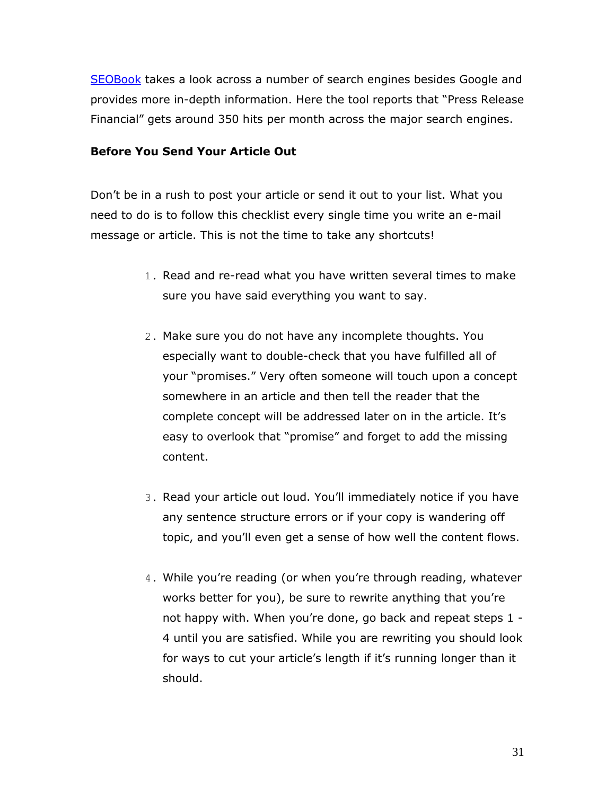[SEOBook](http://tools.seobook.com/general/keyword/) takes a look across a number of search engines besides Google and provides more in-depth information. Here the tool reports that "Press Release Financial" gets around 350 hits per month across the major search engines.

#### <span id="page-30-0"></span>**Before You Send Your Article Out**

Don't be in a rush to post your article or send it out to your list. What you need to do is to follow this checklist every single time you write an e-mail message or article. This is not the time to take any shortcuts!

- 1. Read and re-read what you have written several times to make sure you have said everything you want to say.
- 2. Make sure you do not have any incomplete thoughts. You especially want to double-check that you have fulfilled all of your "promises." Very often someone will touch upon a concept somewhere in an article and then tell the reader that the complete concept will be addressed later on in the article. It's easy to overlook that "promise" and forget to add the missing content.
- 3. Read your article out loud. You'll immediately notice if you have any sentence structure errors or if your copy is wandering off topic, and you'll even get a sense of how well the content flows.
- 4. While you're reading (or when you're through reading, whatever works better for you), be sure to rewrite anything that you're not happy with. When you're done, go back and repeat steps 1 - 4 until you are satisfied. While you are rewriting you should look for ways to cut your article's length if it's running longer than it should.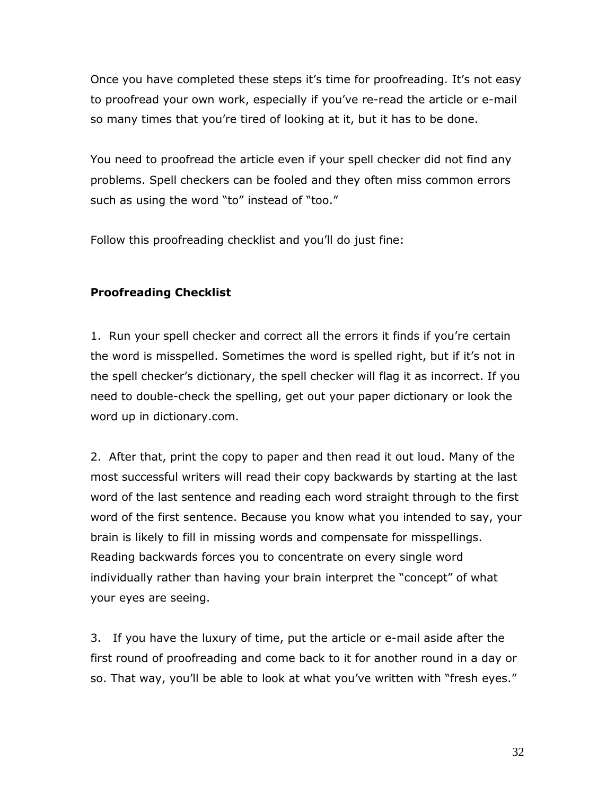Once you have completed these steps it's time for proofreading. It's not easy to proofread your own work, especially if you've re-read the article or e-mail so many times that you're tired of looking at it, but it has to be done.

You need to proofread the article even if your spell checker did not find any problems. Spell checkers can be fooled and they often miss common errors such as using the word "to" instead of "too."

Follow this proofreading checklist and you'll do just fine:

# <span id="page-31-0"></span>**Proofreading Checklist**

1. Run your spell checker and correct all the errors it finds if you're certain the word is misspelled. Sometimes the word is spelled right, but if it's not in the spell checker's dictionary, the spell checker will flag it as incorrect. If you need to double-check the spelling, get out your paper dictionary or look the word up in dictionary.com.

2. After that, print the copy to paper and then read it out loud. Many of the most successful writers will read their copy backwards by starting at the last word of the last sentence and reading each word straight through to the first word of the first sentence. Because you know what you intended to say, your brain is likely to fill in missing words and compensate for misspellings. Reading backwards forces you to concentrate on every single word individually rather than having your brain interpret the "concept" of what your eyes are seeing.

3. If you have the luxury of time, put the article or e-mail aside after the first round of proofreading and come back to it for another round in a day or so. That way, you'll be able to look at what you've written with "fresh eyes."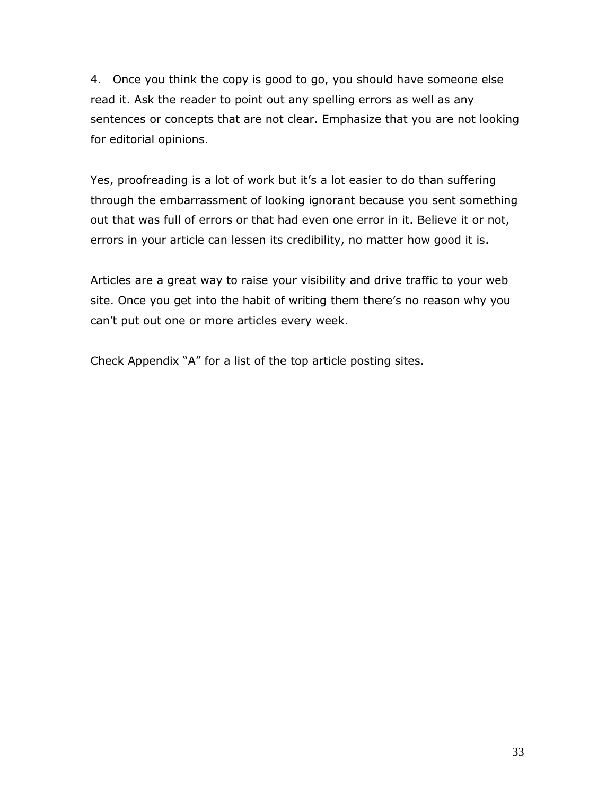4. Once you think the copy is good to go, you should have someone else read it. Ask the reader to point out any spelling errors as well as any sentences or concepts that are not clear. Emphasize that you are not looking for editorial opinions.

Yes, proofreading is a lot of work but it's a lot easier to do than suffering through the embarrassment of looking ignorant because you sent something out that was full of errors or that had even one error in it. Believe it or not, errors in your article can lessen its credibility, no matter how good it is.

Articles are a great way to raise your visibility and drive traffic to your web site. Once you get into the habit of writing them there's no reason why you can't put out one or more articles every week.

Check Appendix "A" for a list of the top article posting sites.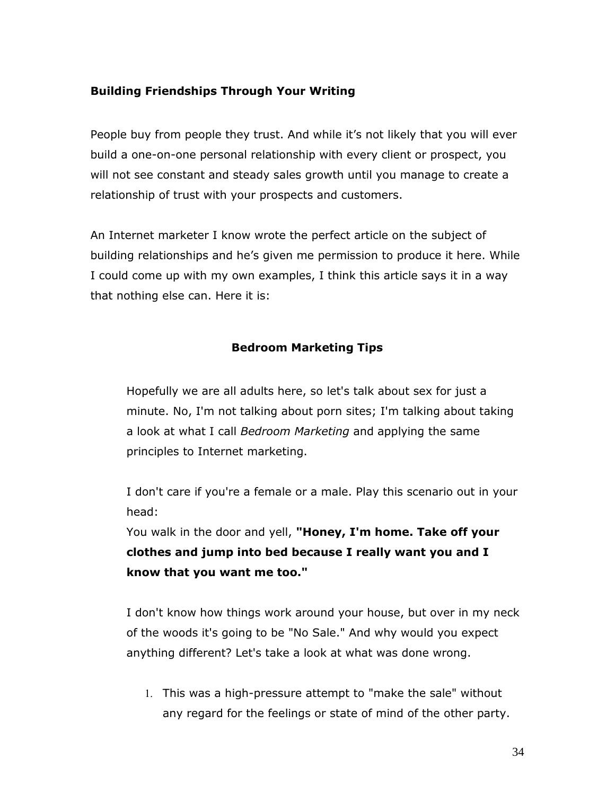# <span id="page-33-0"></span>**Building Friendships Through Your Writing**

People buy from people they trust. And while it's not likely that you will ever build a one-on-one personal relationship with every client or prospect, you will not see constant and steady sales growth until you manage to create a relationship of trust with your prospects and customers.

An Internet marketer I know wrote the perfect article on the subject of building relationships and he's given me permission to produce it here. While I could come up with my own examples, I think this article says it in a way that nothing else can. Here it is:

# **Bedroom Marketing Tips**

<span id="page-33-1"></span>Hopefully we are all adults here, so let's talk about sex for just a minute. No, I'm not talking about porn sites; I'm talking about taking a look at what I call *Bedroom Marketing* and applying the same principles to Internet marketing.

I don't care if you're a female or a male. Play this scenario out in your head:

You walk in the door and yell, **"Honey, I'm home. Take off your clothes and jump into bed because I really want you and I know that you want me too."**

I don't know how things work around your house, but over in my neck of the woods it's going to be "No Sale." And why would you expect anything different? Let's take a look at what was done wrong.

1. This was a high-pressure attempt to "make the sale" without any regard for the feelings or state of mind of the other party.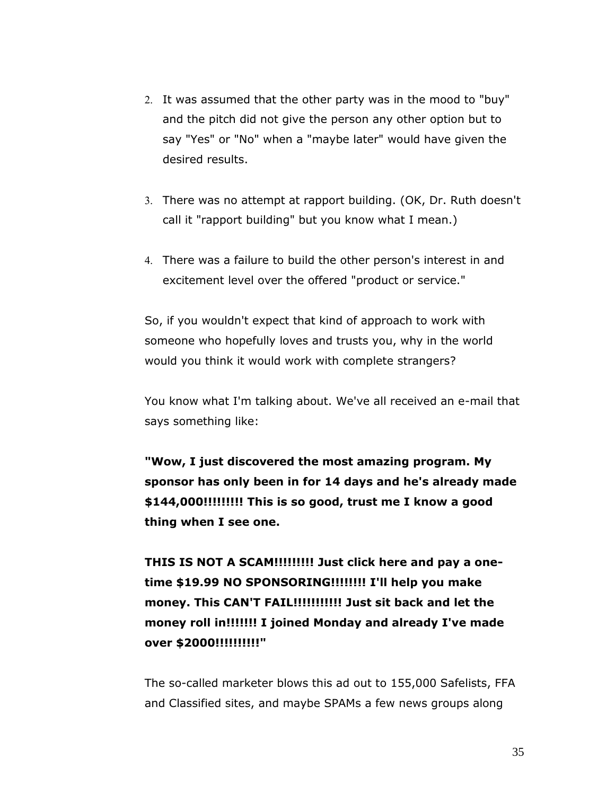- 2. It was assumed that the other party was in the mood to "buy" and the pitch did not give the person any other option but to say "Yes" or "No" when a "maybe later" would have given the desired results.
- There was no attempt at rapport building. (OK, Dr. Ruth doesn't call it "rapport building" but you know what I mean.)
- There was a failure to build the other person's interest in and excitement level over the offered "product or service."

So, if you wouldn't expect that kind of approach to work with someone who hopefully loves and trusts you, why in the world would you think it would work with complete strangers?

You know what I'm talking about. We've all received an e-mail that says something like:

**"Wow, I just discovered the most amazing program. My sponsor has only been in for 14 days and he's already made \$144,000!!!!!!!!! This is so good, trust me I know a good thing when I see one.** 

**THIS IS NOT A SCAM!!!!!!!!! Just click here and pay a onetime \$19.99 NO SPONSORING!!!!!!!! I'll help you make money. This CAN'T FAIL!!!!!!!!!!! Just sit back and let the money roll in!!!!!!! I joined Monday and already I've made over \$2000!!!!!!!!!!"**

The so-called marketer blows this ad out to 155,000 Safelists, FFA and Classified sites, and maybe SPAMs a few news groups along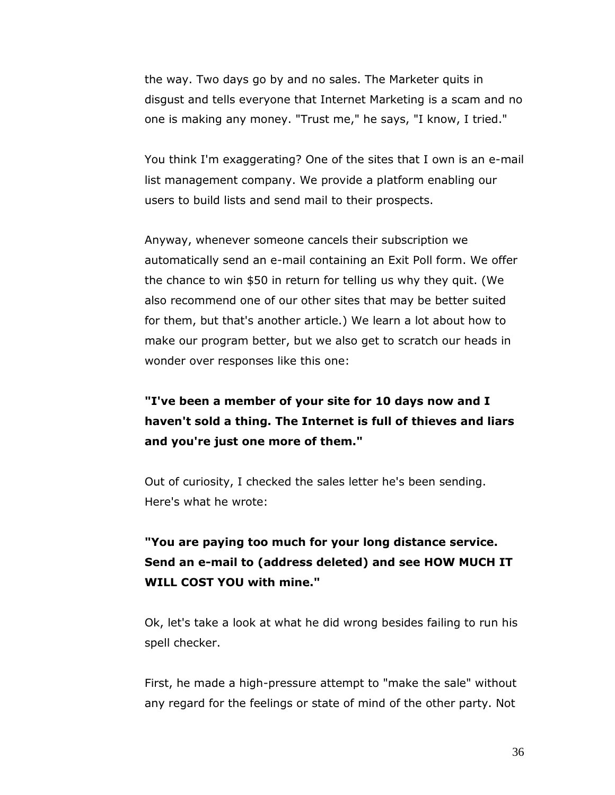the way. Two days go by and no sales. The Marketer quits in disgust and tells everyone that Internet Marketing is a scam and no one is making any money. "Trust me," he says, "I know, I tried."

You think I'm exaggerating? One of the sites that I own is an e-mail list management company. We provide a platform enabling our users to build lists and send mail to their prospects.

Anyway, whenever someone cancels their subscription we automatically send an e-mail containing an Exit Poll form. We offer the chance to win \$50 in return for telling us why they quit. (We also recommend one of our other sites that may be better suited for them, but that's another article.) We learn a lot about how to make our program better, but we also get to scratch our heads in wonder over responses like this one:

# **"I've been a member of your site for 10 days now and I haven't sold a thing. The Internet is full of thieves and liars and you're just one more of them."**

Out of curiosity, I checked the sales letter he's been sending. Here's what he wrote:

# **"You are paying too much for your long distance service. Send an e-mail to (address deleted) and see HOW MUCH IT WILL COST YOU with mine."**

Ok, let's take a look at what he did wrong besides failing to run his spell checker.

First, he made a high-pressure attempt to "make the sale" without any regard for the feelings or state of mind of the other party. Not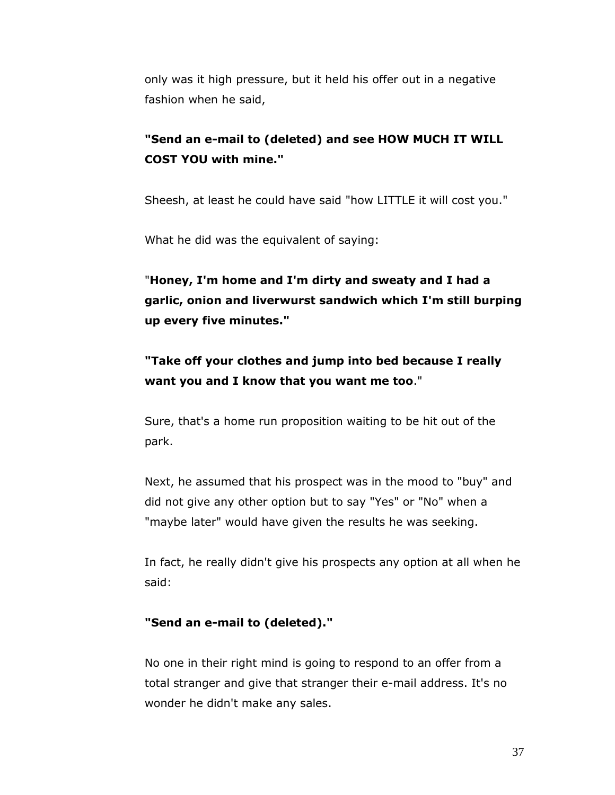only was it high pressure, but it held his offer out in a negative fashion when he said,

# **"Send an e-mail to (deleted) and see HOW MUCH IT WILL COST YOU with mine."**

Sheesh, at least he could have said "how LITTLE it will cost you."

What he did was the equivalent of saying:

"**Honey, I'm home and I'm dirty and sweaty and I had a garlic, onion and liverwurst sandwich which I'm still burping up every five minutes."**

# **"Take off your clothes and jump into bed because I really want you and I know that you want me too**."

Sure, that's a home run proposition waiting to be hit out of the park.

Next, he assumed that his prospect was in the mood to "buy" and did not give any other option but to say "Yes" or "No" when a "maybe later" would have given the results he was seeking.

In fact, he really didn't give his prospects any option at all when he said:

## **"Send an e-mail to (deleted)."**

No one in their right mind is going to respond to an offer from a total stranger and give that stranger their e-mail address. It's no wonder he didn't make any sales.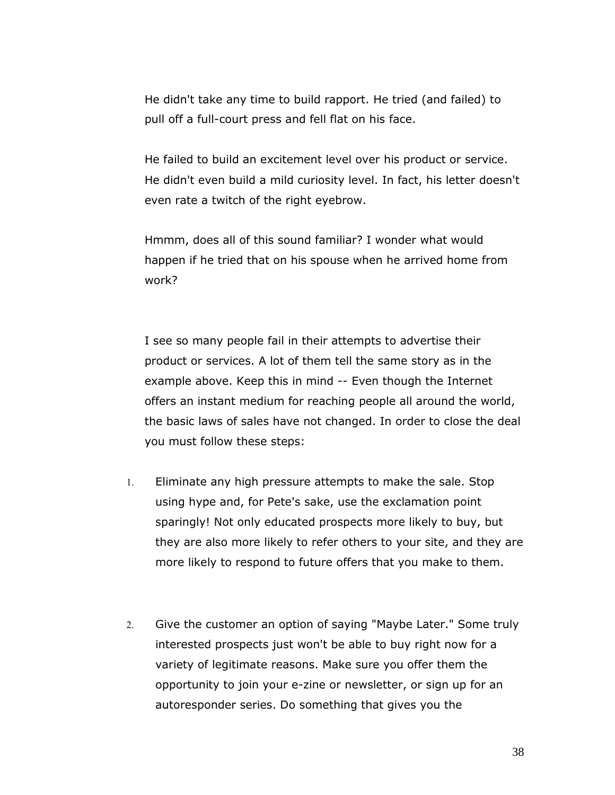He didn't take any time to build rapport. He tried (and failed) to pull off a full-court press and fell flat on his face.

He failed to build an excitement level over his product or service. He didn't even build a mild curiosity level. In fact, his letter doesn't even rate a twitch of the right eyebrow.

Hmmm, does all of this sound familiar? I wonder what would happen if he tried that on his spouse when he arrived home from work?

I see so many people fail in their attempts to advertise their product or services. A lot of them tell the same story as in the example above. Keep this in mind -- Even though the Internet offers an instant medium for reaching people all around the world, the basic laws of sales have not changed. In order to close the deal you must follow these steps:

- Eliminate any high pressure attempts to make the sale. Stop using hype and, for Pete's sake, use the exclamation point sparingly! Not only educated prospects more likely to buy, but they are also more likely to refer others to your site, and they are more likely to respond to future offers that you make to them.
- Give the customer an option of saying "Maybe Later." Some truly interested prospects just won't be able to buy right now for a variety of legitimate reasons. Make sure you offer them the opportunity to join your e-zine or newsletter, or sign up for an autoresponder series. Do something that gives you the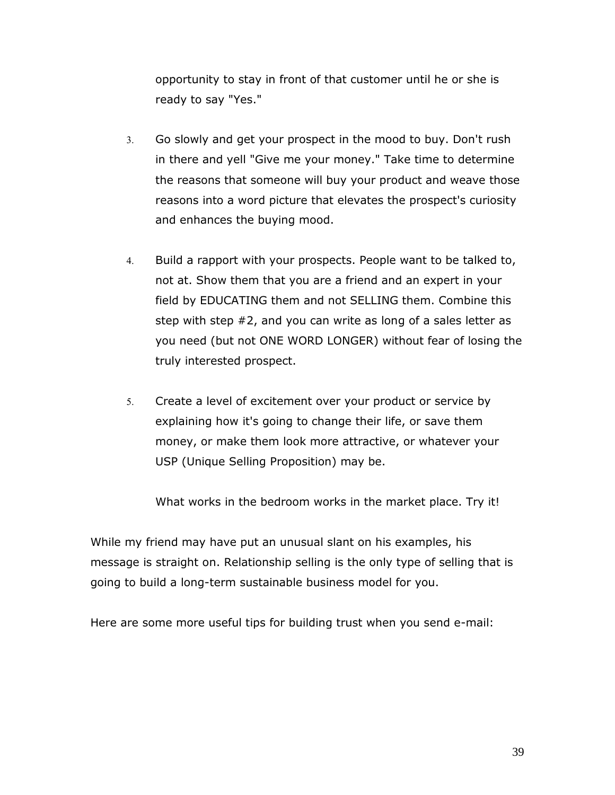opportunity to stay in front of that customer until he or she is ready to say "Yes."

- Go slowly and get your prospect in the mood to buy. Don't rush in there and yell "Give me your money." Take time to determine the reasons that someone will buy your product and weave those reasons into a word picture that elevates the prospect's curiosity and enhances the buying mood.
- Build a rapport with your prospects. People want to be talked to, not at. Show them that you are a friend and an expert in your field by EDUCATING them and not SELLING them. Combine this step with step #2, and you can write as long of a sales letter as you need (but not ONE WORD LONGER) without fear of losing the truly interested prospect.
- Create a level of excitement over your product or service by explaining how it's going to change their life, or save them money, or make them look more attractive, or whatever your USP (Unique Selling Proposition) may be.

What works in the bedroom works in the market place. Try it!

While my friend may have put an unusual slant on his examples, his message is straight on. Relationship selling is the only type of selling that is going to build a long-term sustainable business model for you.

Here are some more useful tips for building trust when you send e-mail: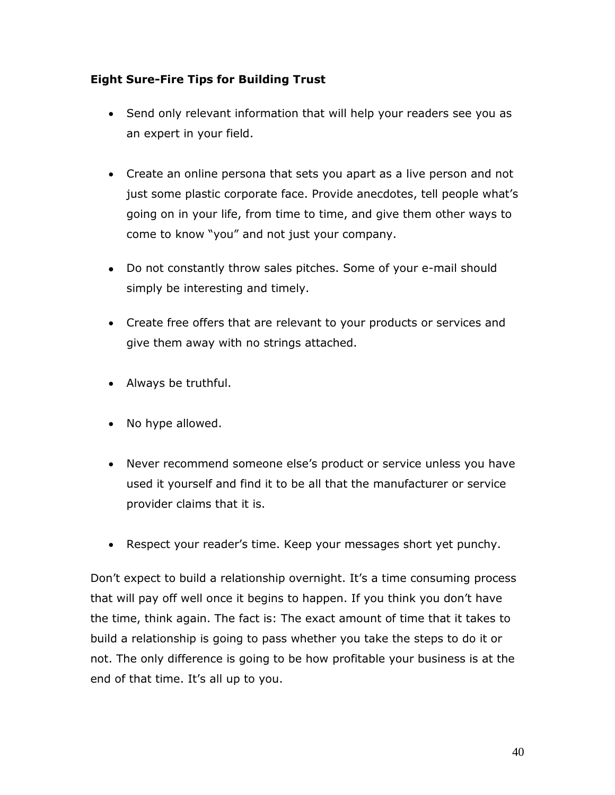# <span id="page-39-0"></span>**Eight Sure-Fire Tips for Building Trust**

- Send only relevant information that will help your readers see you as an expert in your field.
- Create an online persona that sets you apart as a live person and not just some plastic corporate face. Provide anecdotes, tell people what's going on in your life, from time to time, and give them other ways to come to know "you" and not just your company.
- Do not constantly throw sales pitches. Some of your e-mail should simply be interesting and timely.
- Create free offers that are relevant to your products or services and give them away with no strings attached.
- Always be truthful.
- No hype allowed.
- Never recommend someone else's product or service unless you have used it yourself and find it to be all that the manufacturer or service provider claims that it is.
- Respect your reader's time. Keep your messages short yet punchy.

Don't expect to build a relationship overnight. It's a time consuming process that will pay off well once it begins to happen. If you think you don't have the time, think again. The fact is: The exact amount of time that it takes to build a relationship is going to pass whether you take the steps to do it or not. The only difference is going to be how profitable your business is at the end of that time. It's all up to you.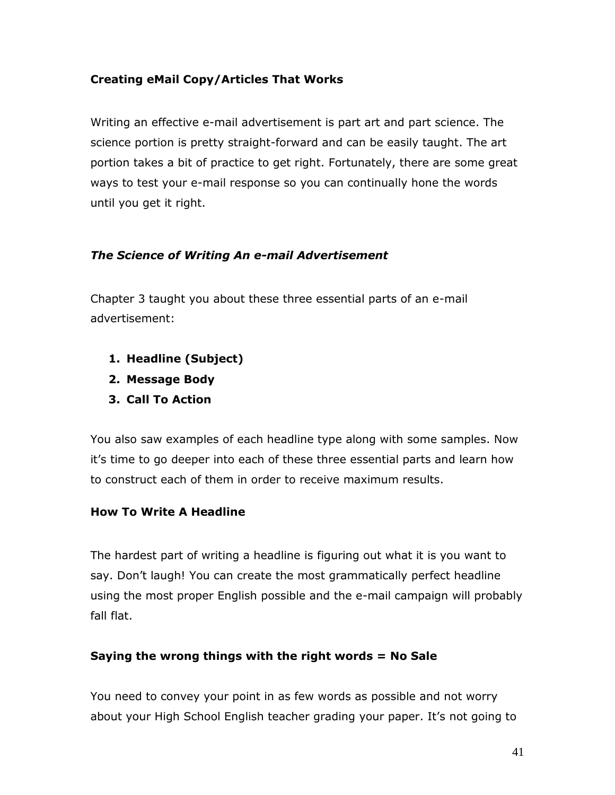# <span id="page-40-0"></span>**Creating eMail Copy/Articles That Works**

Writing an effective e-mail advertisement is part art and part science. The science portion is pretty straight-forward and can be easily taught. The art portion takes a bit of practice to get right. Fortunately, there are some great ways to test your e-mail response so you can continually hone the words until you get it right.

# <span id="page-40-1"></span>*The Science of Writing An e-mail Advertisement*

Chapter 3 taught you about these three essential parts of an e-mail advertisement:

- **1. Headline (Subject)**
- **2. Message Body**
- **3. Call To Action**

You also saw examples of each headline type along with some samples. Now it's time to go deeper into each of these three essential parts and learn how to construct each of them in order to receive maximum results.

# <span id="page-40-2"></span>**How To Write A Headline**

The hardest part of writing a headline is figuring out what it is you want to say. Don't laugh! You can create the most grammatically perfect headline using the most proper English possible and the e-mail campaign will probably fall flat.

# **Saying the wrong things with the right words = No Sale**

You need to convey your point in as few words as possible and not worry about your High School English teacher grading your paper. It's not going to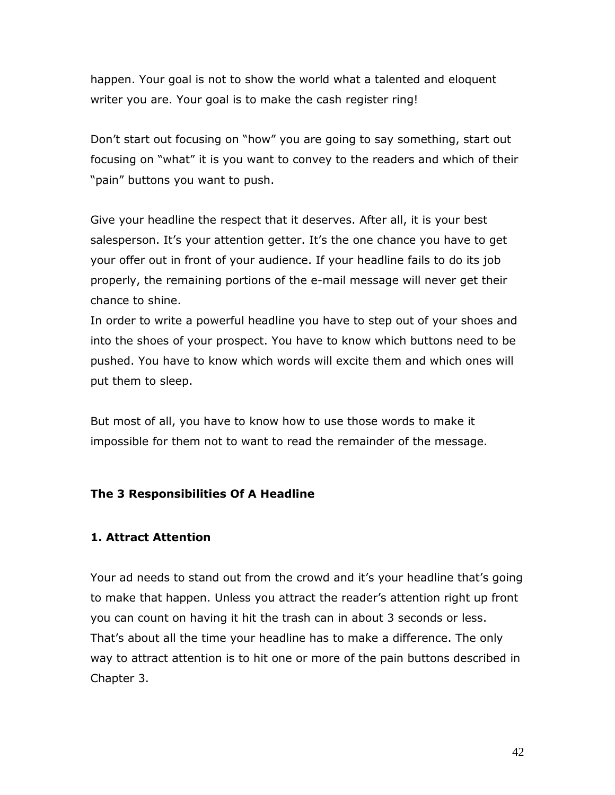happen. Your goal is not to show the world what a talented and eloquent writer you are. Your goal is to make the cash register ring!

Don't start out focusing on "how" you are going to say something, start out focusing on "what" it is you want to convey to the readers and which of their "pain" buttons you want to push.

Give your headline the respect that it deserves. After all, it is your best salesperson. It's your attention getter. It's the one chance you have to get your offer out in front of your audience. If your headline fails to do its job properly, the remaining portions of the e-mail message will never get their chance to shine.

In order to write a powerful headline you have to step out of your shoes and into the shoes of your prospect. You have to know which buttons need to be pushed. You have to know which words will excite them and which ones will put them to sleep.

But most of all, you have to know how to use those words to make it impossible for them not to want to read the remainder of the message.

#### <span id="page-41-0"></span>**The 3 Responsibilities Of A Headline**

#### **1. Attract Attention**

Your ad needs to stand out from the crowd and it's your headline that's going to make that happen. Unless you attract the reader's attention right up front you can count on having it hit the trash can in about 3 seconds or less. That's about all the time your headline has to make a difference. The only way to attract attention is to hit one or more of the pain buttons described in Chapter 3.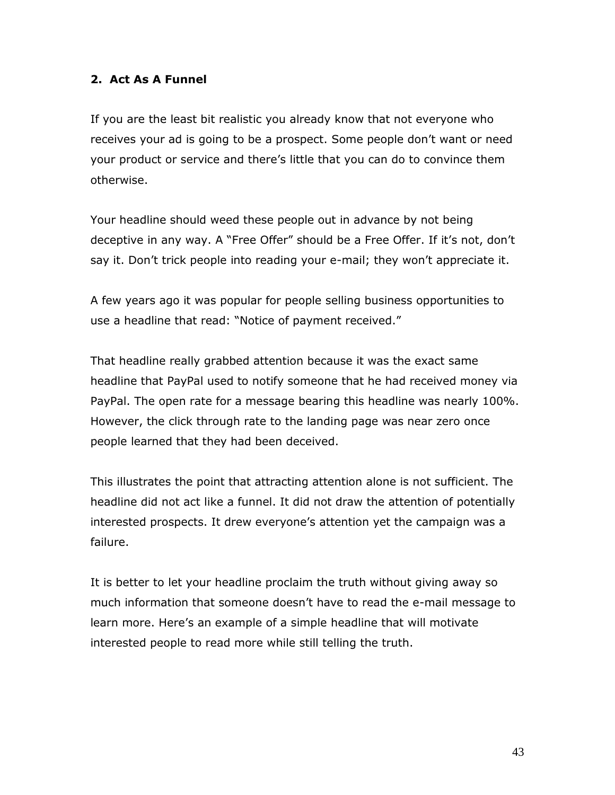## **2. Act As A Funnel**

If you are the least bit realistic you already know that not everyone who receives your ad is going to be a prospect. Some people don't want or need your product or service and there's little that you can do to convince them otherwise.

Your headline should weed these people out in advance by not being deceptive in any way. A "Free Offer" should be a Free Offer. If it's not, don't say it. Don't trick people into reading your e-mail; they won't appreciate it.

A few years ago it was popular for people selling business opportunities to use a headline that read: "Notice of payment received."

That headline really grabbed attention because it was the exact same headline that PayPal used to notify someone that he had received money via PayPal. The open rate for a message bearing this headline was nearly 100%. However, the click through rate to the landing page was near zero once people learned that they had been deceived.

This illustrates the point that attracting attention alone is not sufficient. The headline did not act like a funnel. It did not draw the attention of potentially interested prospects. It drew everyone's attention yet the campaign was a failure.

It is better to let your headline proclaim the truth without giving away so much information that someone doesn't have to read the e-mail message to learn more. Here's an example of a simple headline that will motivate interested people to read more while still telling the truth.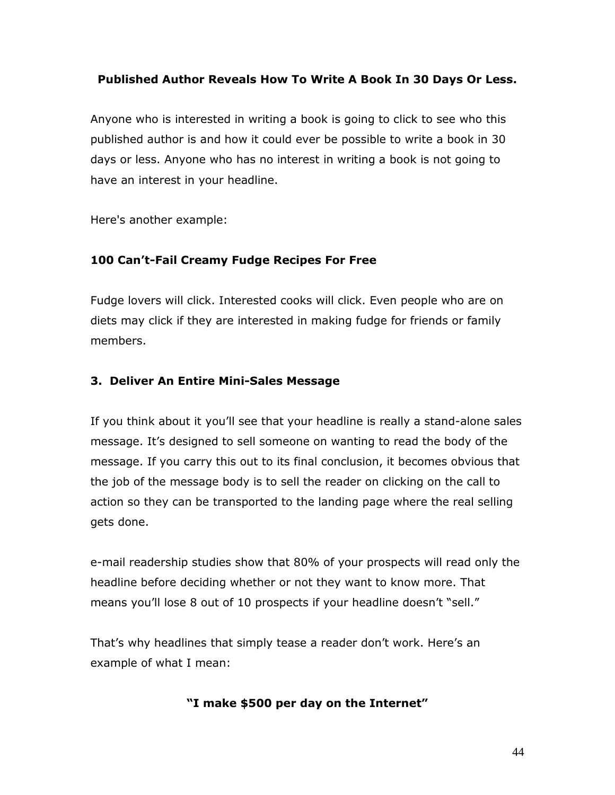# **Published Author Reveals How To Write A Book In 30 Days Or Less.**

Anyone who is interested in writing a book is going to click to see who this published author is and how it could ever be possible to write a book in 30 days or less. Anyone who has no interest in writing a book is not going to have an interest in your headline.

Here's another example:

# **100 Can't-Fail Creamy Fudge Recipes For Free**

Fudge lovers will click. Interested cooks will click. Even people who are on diets may click if they are interested in making fudge for friends or family members.

# **3. Deliver An Entire Mini-Sales Message**

If you think about it you'll see that your headline is really a stand-alone sales message. It's designed to sell someone on wanting to read the body of the message. If you carry this out to its final conclusion, it becomes obvious that the job of the message body is to sell the reader on clicking on the call to action so they can be transported to the landing page where the real selling gets done.

e-mail readership studies show that 80% of your prospects will read only the headline before deciding whether or not they want to know more. That means you'll lose 8 out of 10 prospects if your headline doesn't "sell."

That's why headlines that simply tease a reader don't work. Here's an example of what I mean:

# **"I make \$500 per day on the Internet"**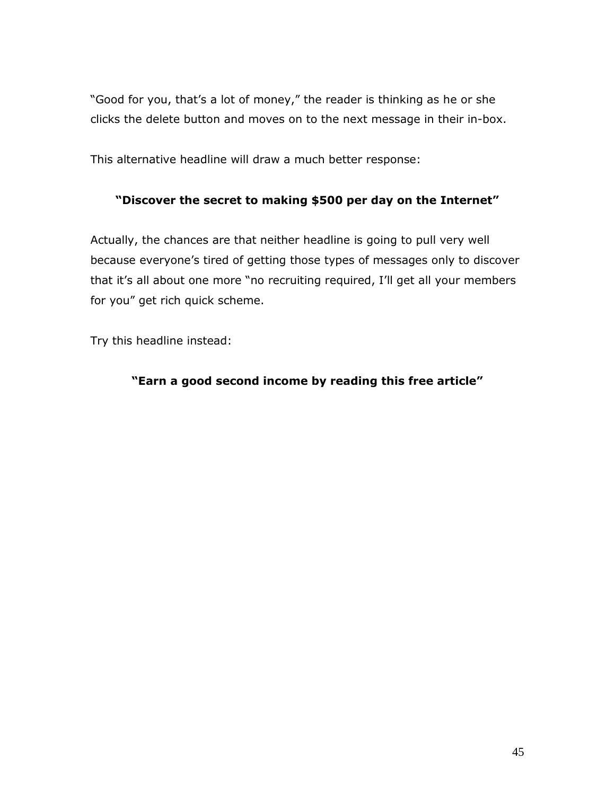"Good for you, that's a lot of money," the reader is thinking as he or she clicks the delete button and moves on to the next message in their in-box.

This alternative headline will draw a much better response:

# **"Discover the secret to making \$500 per day on the Internet"**

Actually, the chances are that neither headline is going to pull very well because everyone's tired of getting those types of messages only to discover that it's all about one more "no recruiting required, I'll get all your members for you" get rich quick scheme.

Try this headline instead:

# **"Earn a good second income by reading this free article"**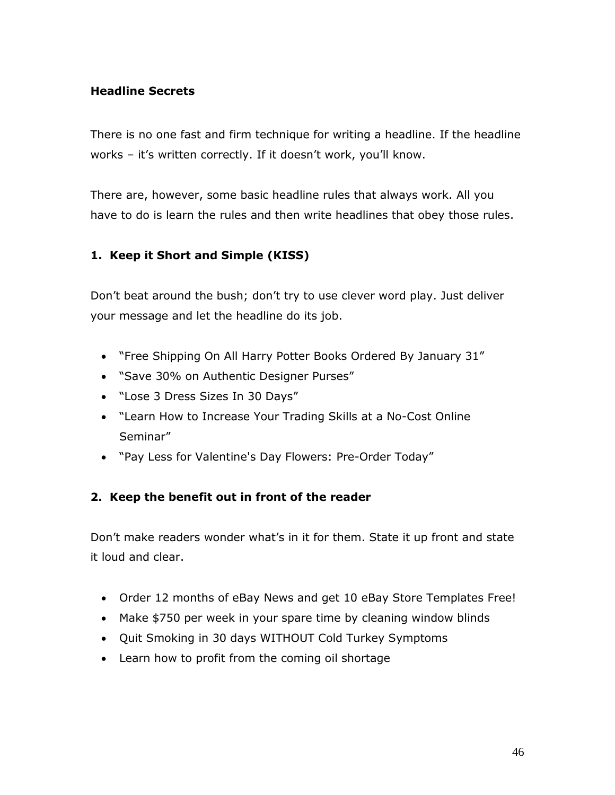# <span id="page-45-0"></span>**Headline Secrets**

There is no one fast and firm technique for writing a headline. If the headline works – it's written correctly. If it doesn't work, you'll know.

There are, however, some basic headline rules that always work. All you have to do is learn the rules and then write headlines that obey those rules.

# **1. Keep it Short and Simple (KISS)**

Don't beat around the bush; don't try to use clever word play. Just deliver your message and let the headline do its job.

- "Free Shipping On All Harry Potter Books Ordered By January 31"
- "Save 30% on Authentic Designer Purses"
- "Lose 3 Dress Sizes In 30 Days"
- "Learn How to Increase Your Trading Skills at a No-Cost Online Seminar"
- "Pay Less for Valentine's Day Flowers: Pre-Order Today"

# **2. Keep the benefit out in front of the reader**

Don't make readers wonder what's in it for them. State it up front and state it loud and clear.

- Order 12 months of eBay News and get 10 eBay Store Templates Free!
- Make \$750 per week in your spare time by cleaning window blinds
- Quit Smoking in 30 days WITHOUT Cold Turkey Symptoms
- Learn how to profit from the coming oil shortage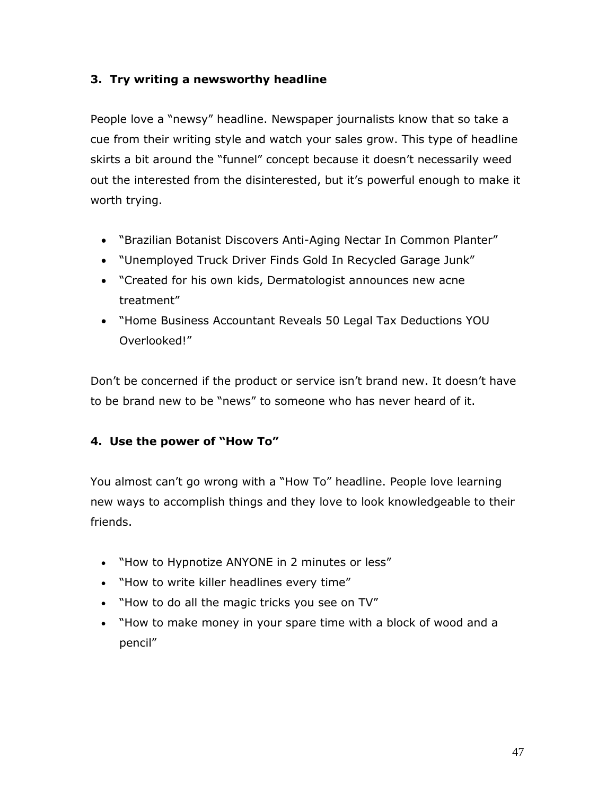# **3. Try writing a newsworthy headline**

People love a "newsy" headline. Newspaper journalists know that so take a cue from their writing style and watch your sales grow. This type of headline skirts a bit around the "funnel" concept because it doesn't necessarily weed out the interested from the disinterested, but it's powerful enough to make it worth trying.

- "Brazilian Botanist Discovers Anti-Aging Nectar In Common Planter"
- "Unemployed Truck Driver Finds Gold In Recycled Garage Junk"
- "Created for his own kids, Dermatologist announces new acne treatment"
- "Home Business Accountant Reveals 50 Legal Tax Deductions YOU Overlooked!"

Don't be concerned if the product or service isn't brand new. It doesn't have to be brand new to be "news" to someone who has never heard of it.

# **4. Use the power of "How To"**

You almost can't go wrong with a "How To" headline. People love learning new ways to accomplish things and they love to look knowledgeable to their friends.

- "How to Hypnotize ANYONE in 2 minutes or less"
- . "How to write killer headlines every time"
- "How to do all the magic tricks you see on TV"
- "How to make money in your spare time with a block of wood and a pencil"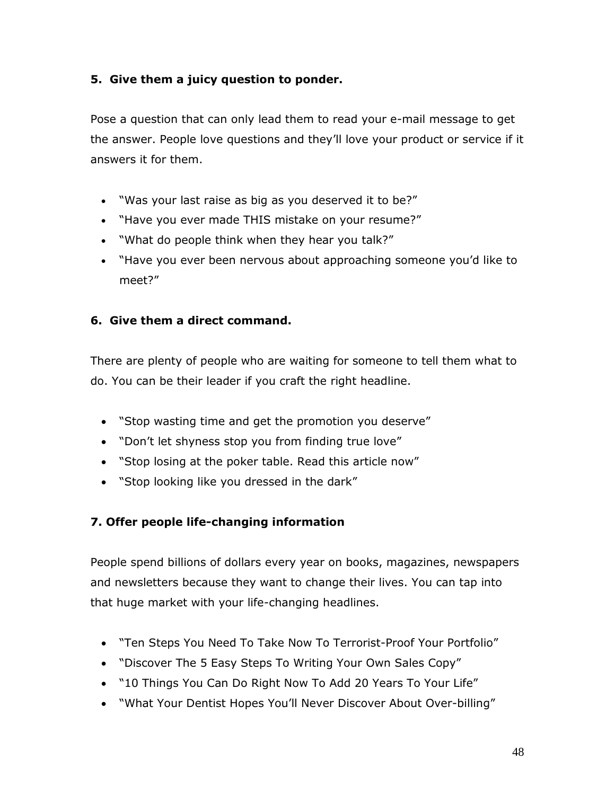# **5. Give them a juicy question to ponder.**

Pose a question that can only lead them to read your e-mail message to get the answer. People love questions and they'll love your product or service if it answers it for them.

- "Was your last raise as big as you deserved it to be?"
- "Have you ever made THIS mistake on your resume?"
- "What do people think when they hear you talk?"
- "Have you ever been nervous about approaching someone you'd like to meet?"

# **6. Give them a direct command.**

There are plenty of people who are waiting for someone to tell them what to do. You can be their leader if you craft the right headline.

- "Stop wasting time and get the promotion you deserve"
- "Don't let shyness stop you from finding true love"
- "Stop losing at the poker table. Read this article now"
- "Stop looking like you dressed in the dark"

# **7. Offer people life-changing information**

People spend billions of dollars every year on books, magazines, newspapers and newsletters because they want to change their lives. You can tap into that huge market with your life-changing headlines.

- "Ten Steps You Need To Take Now To Terrorist-Proof Your Portfolio"
- "Discover The 5 Easy Steps To Writing Your Own Sales Copy"
- . "10 Things You Can Do Right Now To Add 20 Years To Your Life"
- "What Your Dentist Hopes You'll Never Discover About Over-billing"